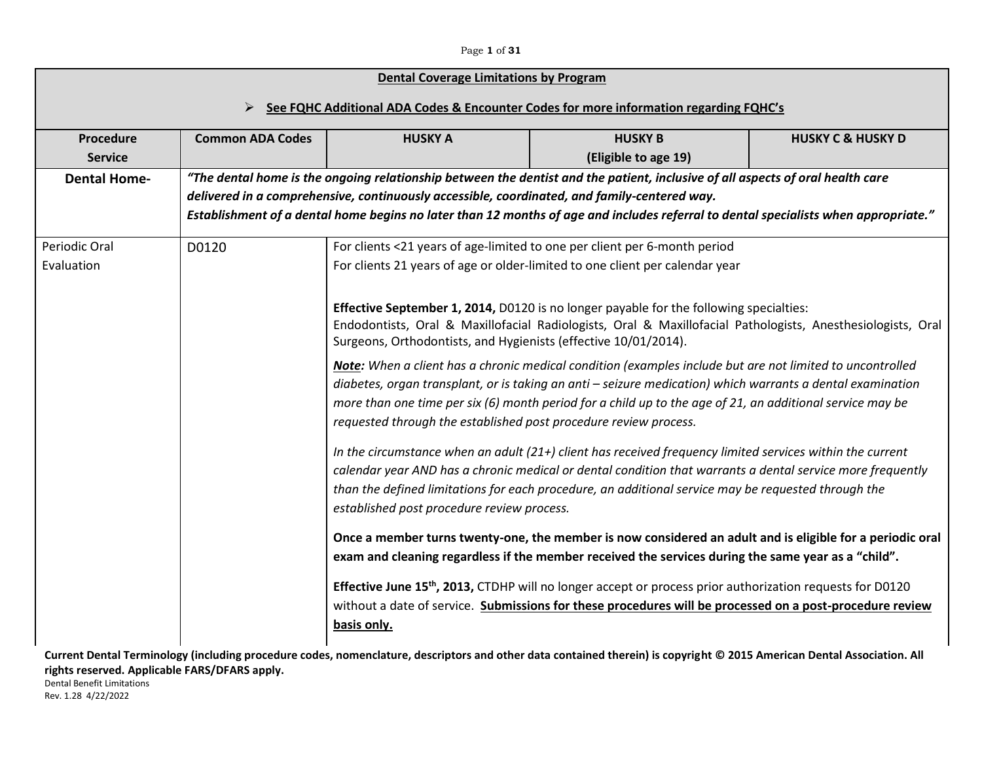#### Page **1** of **31**

# ➢ **See FQHC Additional ADA Codes & Encounter Codes for more information regarding FQHC's**

| Procedure<br><b>Service</b> | <b>Common ADA Codes</b> | <b>HUSKY A</b>                                                                                                                                                                                   | <b>HUSKY B</b><br>(Eligible to age 19)                                                                                                                                                                                                                                                                                                                                                                                                                                                                                                                                                                                                                                                                                                                                                                                                                                                                                                                                                                                                                                                                                                                                                                                                                                                                                                                                                                                                                                                                       | <b>HUSKY C &amp; HUSKY D</b> |
|-----------------------------|-------------------------|--------------------------------------------------------------------------------------------------------------------------------------------------------------------------------------------------|--------------------------------------------------------------------------------------------------------------------------------------------------------------------------------------------------------------------------------------------------------------------------------------------------------------------------------------------------------------------------------------------------------------------------------------------------------------------------------------------------------------------------------------------------------------------------------------------------------------------------------------------------------------------------------------------------------------------------------------------------------------------------------------------------------------------------------------------------------------------------------------------------------------------------------------------------------------------------------------------------------------------------------------------------------------------------------------------------------------------------------------------------------------------------------------------------------------------------------------------------------------------------------------------------------------------------------------------------------------------------------------------------------------------------------------------------------------------------------------------------------------|------------------------------|
| <b>Dental Home-</b>         |                         |                                                                                                                                                                                                  | "The dental home is the ongoing relationship between the dentist and the patient, inclusive of all aspects of oral health care<br>delivered in a comprehensive, continuously accessible, coordinated, and family-centered way.<br>Establishment of a dental home begins no later than 12 months of age and includes referral to dental specialists when appropriate."                                                                                                                                                                                                                                                                                                                                                                                                                                                                                                                                                                                                                                                                                                                                                                                                                                                                                                                                                                                                                                                                                                                                        |                              |
| Periodic Oral<br>Evaluation | D0120                   | Surgeons, Orthodontists, and Hygienists (effective 10/01/2014).<br>requested through the established post procedure review process.<br>established post procedure review process.<br>basis only. | For clients <21 years of age-limited to one per client per 6-month period<br>For clients 21 years of age or older-limited to one client per calendar year<br><b>Effective September 1, 2014, D0120 is no longer payable for the following specialties:</b><br>Endodontists, Oral & Maxillofacial Radiologists, Oral & Maxillofacial Pathologists, Anesthesiologists, Oral<br>Note: When a client has a chronic medical condition (examples include but are not limited to uncontrolled<br>diabetes, organ transplant, or is taking an anti - seizure medication) which warrants a dental examination<br>more than one time per six (6) month period for a child up to the age of 21, an additional service may be<br>In the circumstance when an adult (21+) client has received frequency limited services within the current<br>calendar year AND has a chronic medical or dental condition that warrants a dental service more frequently<br>than the defined limitations for each procedure, an additional service may be requested through the<br>Once a member turns twenty-one, the member is now considered an adult and is eligible for a periodic oral<br>exam and cleaning regardless if the member received the services during the same year as a "child".<br>Effective June 15 <sup>th</sup> , 2013, CTDHP will no longer accept or process prior authorization requests for D0120<br>without a date of service. Submissions for these procedures will be processed on a post-procedure review |                              |

**Current Dental Terminology (including procedure codes, nomenclature, descriptors and other data contained therein) is copyright © 2015 American Dental Association. All rights reserved. Applicable FARS/DFARS apply.** Dental Benefit Limitations

Rev. 1.28 4/22/2022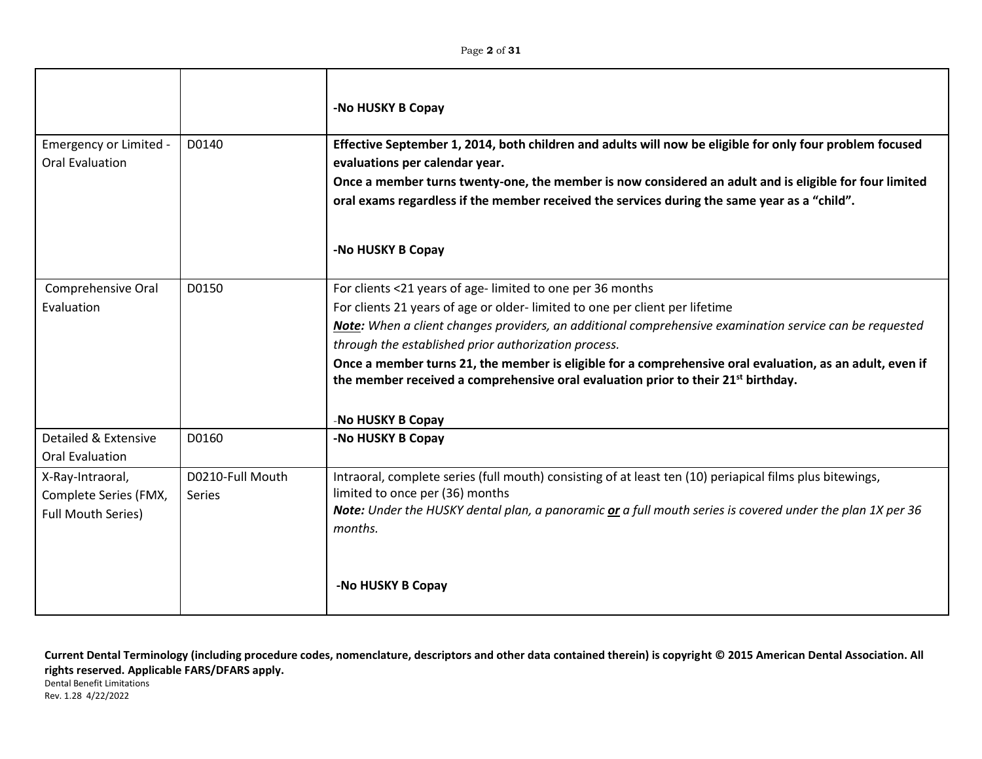|                                                                        |                                   | -No HUSKY B Copay                                                                                                                                                                                                                                                                                                                                                                                                                                                                                                                             |
|------------------------------------------------------------------------|-----------------------------------|-----------------------------------------------------------------------------------------------------------------------------------------------------------------------------------------------------------------------------------------------------------------------------------------------------------------------------------------------------------------------------------------------------------------------------------------------------------------------------------------------------------------------------------------------|
| Emergency or Limited -<br>Oral Evaluation                              | D0140                             | Effective September 1, 2014, both children and adults will now be eligible for only four problem focused<br>evaluations per calendar year.<br>Once a member turns twenty-one, the member is now considered an adult and is eligible for four limited<br>oral exams regardless if the member received the services during the same year as a "child".                                                                                                                                                                                          |
|                                                                        |                                   | -No HUSKY B Copay                                                                                                                                                                                                                                                                                                                                                                                                                                                                                                                             |
| Comprehensive Oral<br>Evaluation                                       | D0150                             | For clients <21 years of age-limited to one per 36 months<br>For clients 21 years of age or older-limited to one per client per lifetime<br>Note: When a client changes providers, an additional comprehensive examination service can be requested<br>through the established prior authorization process.<br>Once a member turns 21, the member is eligible for a comprehensive oral evaluation, as an adult, even if<br>the member received a comprehensive oral evaluation prior to their 21 <sup>st</sup> birthday.<br>-No HUSKY B Copay |
| Detailed & Extensive<br><b>Oral Evaluation</b>                         | D0160                             | -No HUSKY B Copay                                                                                                                                                                                                                                                                                                                                                                                                                                                                                                                             |
| X-Ray-Intraoral,<br>Complete Series (FMX,<br><b>Full Mouth Series)</b> | D0210-Full Mouth<br><b>Series</b> | Intraoral, complete series (full mouth) consisting of at least ten (10) periapical films plus bitewings,<br>limited to once per (36) months<br>Note: Under the HUSKY dental plan, a panoramic or a full mouth series is covered under the plan 1X per 36<br>months.<br>-No HUSKY B Copay                                                                                                                                                                                                                                                      |
|                                                                        |                                   |                                                                                                                                                                                                                                                                                                                                                                                                                                                                                                                                               |

Rev. 1.28 4/22/2022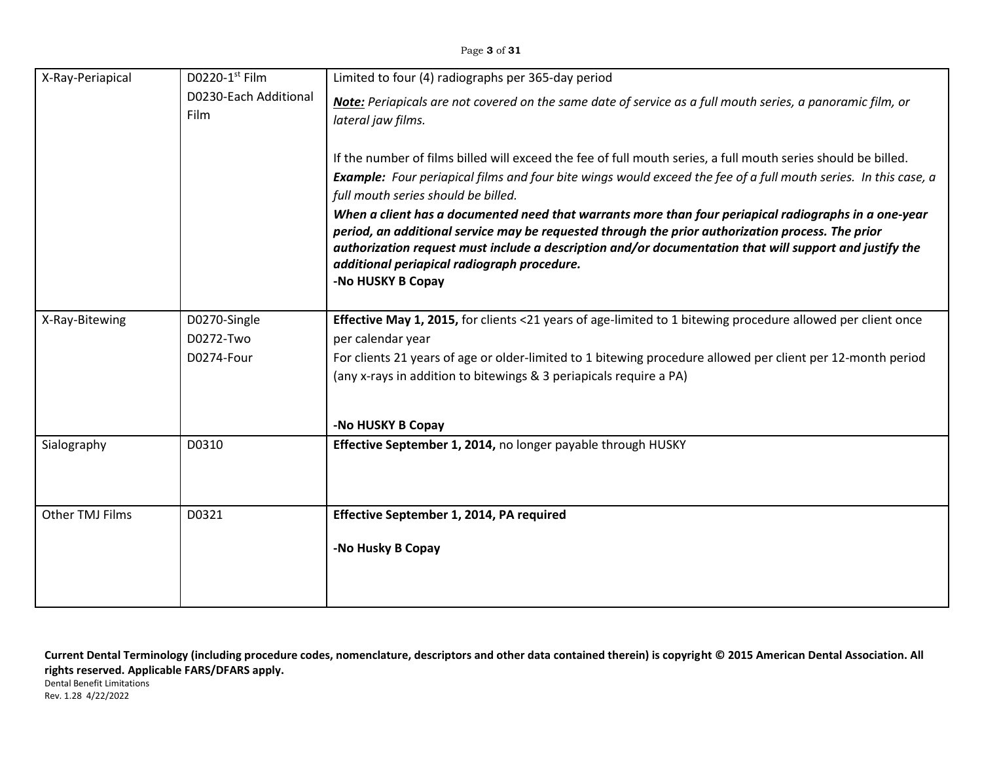| X-Ray-Periapical | D0220-1st Film                | Limited to four (4) radiographs per 365-day period                                                                                                                                                                                                                                                                                                                                        |
|------------------|-------------------------------|-------------------------------------------------------------------------------------------------------------------------------------------------------------------------------------------------------------------------------------------------------------------------------------------------------------------------------------------------------------------------------------------|
|                  | D0230-Each Additional<br>Film | Note: Periapicals are not covered on the same date of service as a full mouth series, a panoramic film, or<br>lateral jaw films.                                                                                                                                                                                                                                                          |
|                  |                               |                                                                                                                                                                                                                                                                                                                                                                                           |
|                  |                               | If the number of films billed will exceed the fee of full mouth series, a full mouth series should be billed.                                                                                                                                                                                                                                                                             |
|                  |                               | <b>Example:</b> Four periapical films and four bite wings would exceed the fee of a full mouth series. In this case, a<br>full mouth series should be billed.                                                                                                                                                                                                                             |
|                  |                               | When a client has a documented need that warrants more than four periapical radiographs in a one-year<br>period, an additional service may be requested through the prior authorization process. The prior<br>authorization request must include a description and/or documentation that will support and justify the<br>additional periapical radiograph procedure.<br>-No HUSKY B Copay |
|                  |                               |                                                                                                                                                                                                                                                                                                                                                                                           |
| X-Ray-Bitewing   | D0270-Single                  | Effective May 1, 2015, for clients <21 years of age-limited to 1 bitewing procedure allowed per client once                                                                                                                                                                                                                                                                               |
|                  | D0272-Two                     | per calendar year                                                                                                                                                                                                                                                                                                                                                                         |
|                  | D0274-Four                    | For clients 21 years of age or older-limited to 1 bitewing procedure allowed per client per 12-month period<br>(any x-rays in addition to bitewings & 3 periapicals require a PA)                                                                                                                                                                                                         |
|                  |                               | -No HUSKY B Copay                                                                                                                                                                                                                                                                                                                                                                         |
| Sialography      | D0310                         | Effective September 1, 2014, no longer payable through HUSKY                                                                                                                                                                                                                                                                                                                              |
| Other TMJ Films  | D0321                         | Effective September 1, 2014, PA required                                                                                                                                                                                                                                                                                                                                                  |
|                  |                               | -No Husky B Copay                                                                                                                                                                                                                                                                                                                                                                         |
|                  |                               |                                                                                                                                                                                                                                                                                                                                                                                           |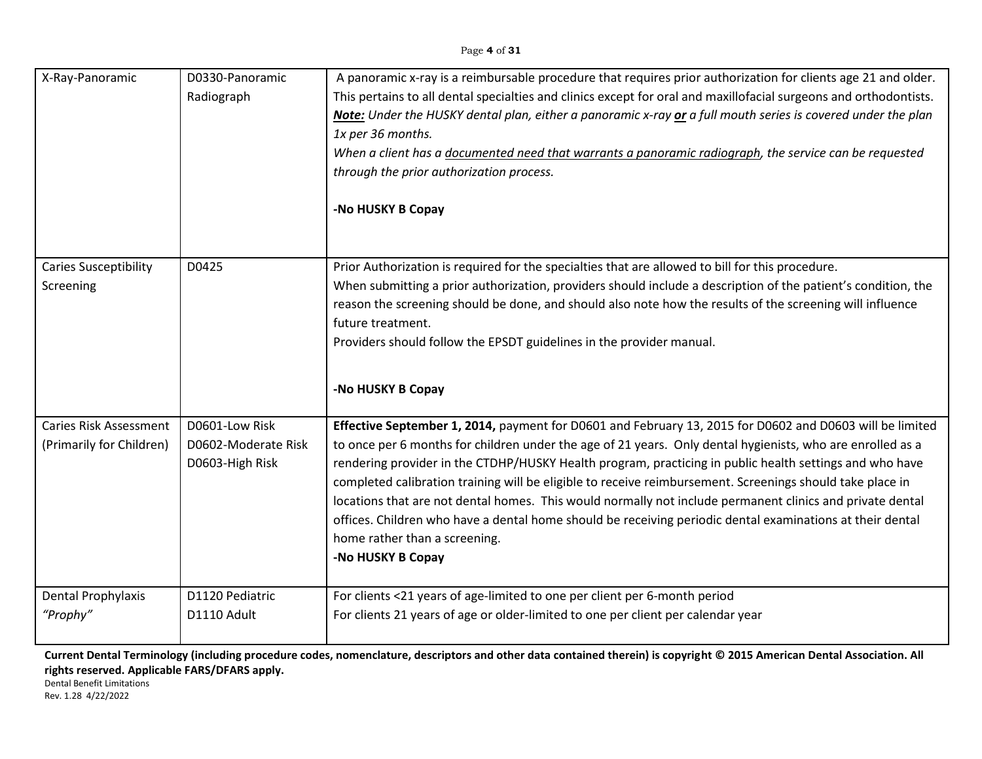| X-Ray-Panoramic                           | D0330-Panoramic<br>Radiograph          | A panoramic x-ray is a reimbursable procedure that requires prior authorization for clients age 21 and older.<br>This pertains to all dental specialties and clinics except for oral and maxillofacial surgeons and orthodontists.<br>Note: Under the HUSKY dental plan, either a panoramic x-ray or a full mouth series is covered under the plan<br>1x per 36 months.<br>When a client has a documented need that warrants a panoramic radiograph, the service can be requested<br>through the prior authorization process.<br>-No HUSKY B Copay                                                                 |
|-------------------------------------------|----------------------------------------|--------------------------------------------------------------------------------------------------------------------------------------------------------------------------------------------------------------------------------------------------------------------------------------------------------------------------------------------------------------------------------------------------------------------------------------------------------------------------------------------------------------------------------------------------------------------------------------------------------------------|
| <b>Caries Susceptibility</b><br>Screening | D0425                                  | Prior Authorization is required for the specialties that are allowed to bill for this procedure.<br>When submitting a prior authorization, providers should include a description of the patient's condition, the<br>reason the screening should be done, and should also note how the results of the screening will influence<br>future treatment.<br>Providers should follow the EPSDT guidelines in the provider manual.<br>-No HUSKY B Copay                                                                                                                                                                   |
| <b>Caries Risk Assessment</b>             | D0601-Low Risk                         | Effective September 1, 2014, payment for D0601 and February 13, 2015 for D0602 and D0603 will be limited                                                                                                                                                                                                                                                                                                                                                                                                                                                                                                           |
| (Primarily for Children)                  | D0602-Moderate Risk<br>D0603-High Risk | to once per 6 months for children under the age of 21 years. Only dental hygienists, who are enrolled as a<br>rendering provider in the CTDHP/HUSKY Health program, practicing in public health settings and who have<br>completed calibration training will be eligible to receive reimbursement. Screenings should take place in<br>locations that are not dental homes. This would normally not include permanent clinics and private dental<br>offices. Children who have a dental home should be receiving periodic dental examinations at their dental<br>home rather than a screening.<br>-No HUSKY B Copay |
| Dental Prophylaxis                        | D1120 Pediatric                        | For clients <21 years of age-limited to one per client per 6-month period                                                                                                                                                                                                                                                                                                                                                                                                                                                                                                                                          |
| "Prophy"                                  | D1110 Adult                            | For clients 21 years of age or older-limited to one per client per calendar year                                                                                                                                                                                                                                                                                                                                                                                                                                                                                                                                   |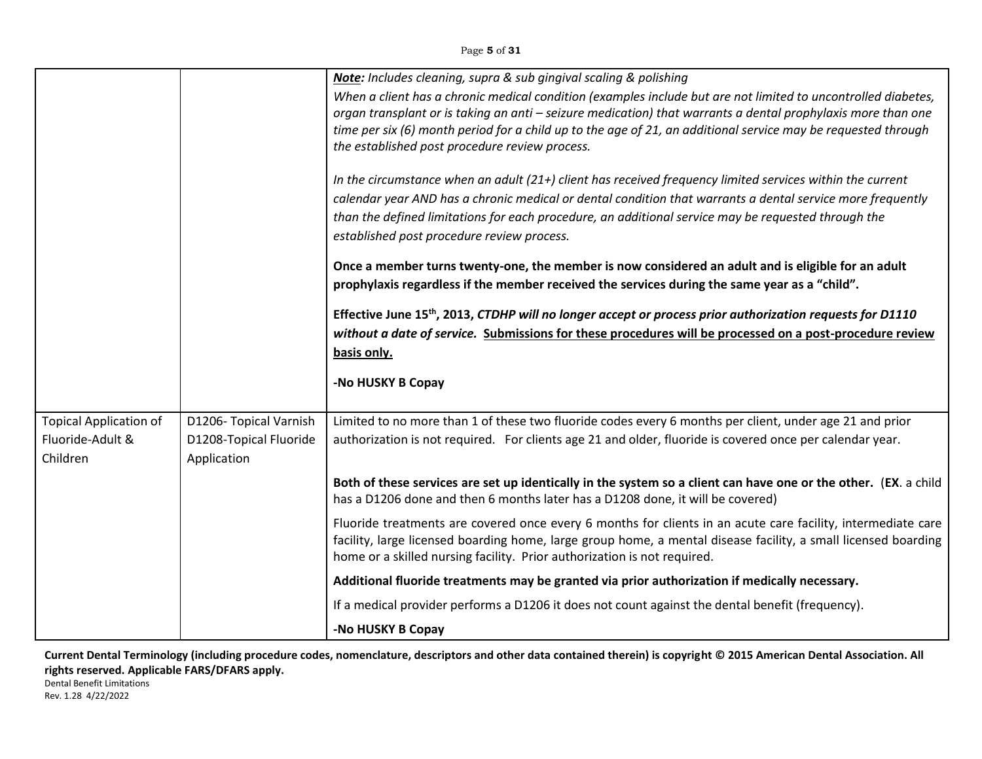|                                                               |                                                                 | Note: Includes cleaning, supra & sub gingival scaling & polishing                                                                                                                                                                                                                                                                                                                                |
|---------------------------------------------------------------|-----------------------------------------------------------------|--------------------------------------------------------------------------------------------------------------------------------------------------------------------------------------------------------------------------------------------------------------------------------------------------------------------------------------------------------------------------------------------------|
|                                                               |                                                                 | When a client has a chronic medical condition (examples include but are not limited to uncontrolled diabetes,<br>organ transplant or is taking an anti - seizure medication) that warrants a dental prophylaxis more than one<br>time per six (6) month period for a child up to the age of 21, an additional service may be requested through<br>the established post procedure review process. |
|                                                               |                                                                 | In the circumstance when an adult (21+) client has received frequency limited services within the current<br>calendar year AND has a chronic medical or dental condition that warrants a dental service more frequently<br>than the defined limitations for each procedure, an additional service may be requested through the<br>established post procedure review process.                     |
|                                                               |                                                                 | Once a member turns twenty-one, the member is now considered an adult and is eligible for an adult<br>prophylaxis regardless if the member received the services during the same year as a "child".                                                                                                                                                                                              |
|                                                               |                                                                 | Effective June 15 <sup>th</sup> , 2013, CTDHP will no longer accept or process prior authorization requests for D1110<br>without a date of service. Submissions for these procedures will be processed on a post-procedure review<br>basis only.                                                                                                                                                 |
|                                                               |                                                                 | -No HUSKY B Copay                                                                                                                                                                                                                                                                                                                                                                                |
| <b>Topical Application of</b><br>Fluoride-Adult &<br>Children | D1206- Topical Varnish<br>D1208-Topical Fluoride<br>Application | Limited to no more than 1 of these two fluoride codes every 6 months per client, under age 21 and prior<br>authorization is not required. For clients age 21 and older, fluoride is covered once per calendar year.                                                                                                                                                                              |
|                                                               |                                                                 | Both of these services are set up identically in the system so a client can have one or the other. (EX. a child<br>has a D1206 done and then 6 months later has a D1208 done, it will be covered)                                                                                                                                                                                                |
|                                                               |                                                                 | Fluoride treatments are covered once every 6 months for clients in an acute care facility, intermediate care<br>facility, large licensed boarding home, large group home, a mental disease facility, a small licensed boarding<br>home or a skilled nursing facility. Prior authorization is not required.                                                                                       |
|                                                               |                                                                 | Additional fluoride treatments may be granted via prior authorization if medically necessary.                                                                                                                                                                                                                                                                                                    |
|                                                               |                                                                 | If a medical provider performs a D1206 it does not count against the dental benefit (frequency).                                                                                                                                                                                                                                                                                                 |
|                                                               |                                                                 | -No HUSKY B Copay                                                                                                                                                                                                                                                                                                                                                                                |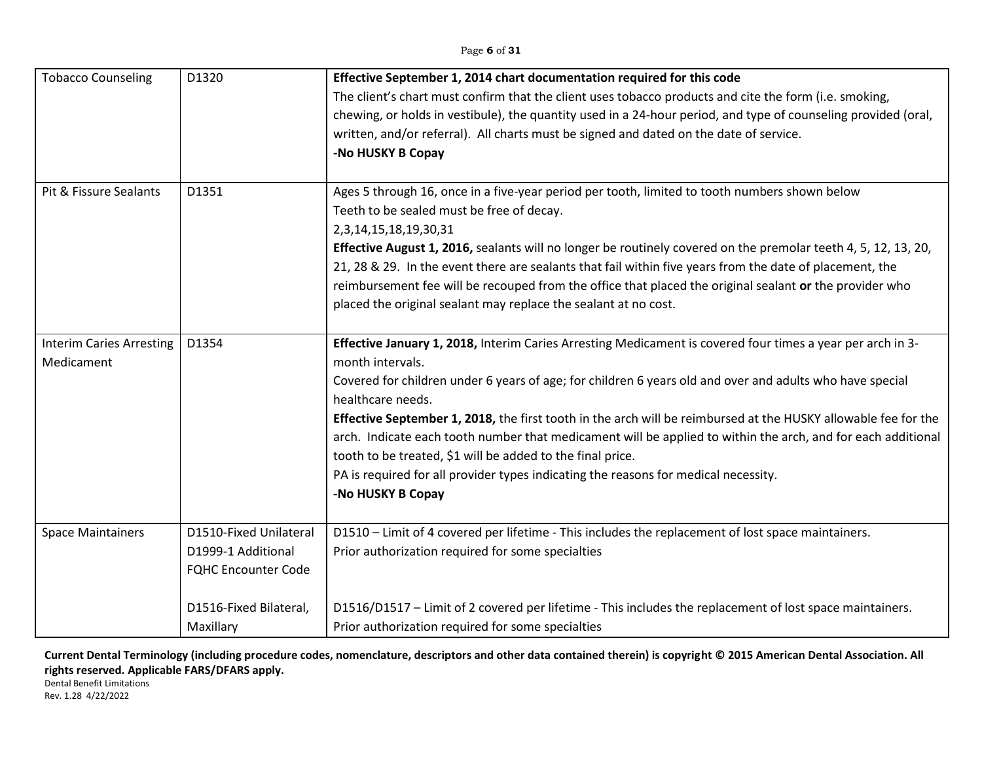### Page **6** of **31**

| <b>Tobacco Counseling</b>                     | D1320                                                                                                             | Effective September 1, 2014 chart documentation required for this code<br>The client's chart must confirm that the client uses tobacco products and cite the form (i.e. smoking,<br>chewing, or holds in vestibule), the quantity used in a 24-hour period, and type of counseling provided (oral,<br>written, and/or referral). All charts must be signed and dated on the date of service.<br>-No HUSKY B Copay                                                                                                                                                                                                                                                           |
|-----------------------------------------------|-------------------------------------------------------------------------------------------------------------------|-----------------------------------------------------------------------------------------------------------------------------------------------------------------------------------------------------------------------------------------------------------------------------------------------------------------------------------------------------------------------------------------------------------------------------------------------------------------------------------------------------------------------------------------------------------------------------------------------------------------------------------------------------------------------------|
| Pit & Fissure Sealants                        | D1351                                                                                                             | Ages 5 through 16, once in a five-year period per tooth, limited to tooth numbers shown below<br>Teeth to be sealed must be free of decay.<br>2,3,14,15,18,19,30,31<br>Effective August 1, 2016, sealants will no longer be routinely covered on the premolar teeth 4, 5, 12, 13, 20,<br>21, 28 & 29. In the event there are sealants that fail within five years from the date of placement, the<br>reimbursement fee will be recouped from the office that placed the original sealant or the provider who<br>placed the original sealant may replace the sealant at no cost.                                                                                             |
| <b>Interim Caries Arresting</b><br>Medicament | D1354                                                                                                             | Effective January 1, 2018, Interim Caries Arresting Medicament is covered four times a year per arch in 3-<br>month intervals.<br>Covered for children under 6 years of age; for children 6 years old and over and adults who have special<br>healthcare needs.<br>Effective September 1, 2018, the first tooth in the arch will be reimbursed at the HUSKY allowable fee for the<br>arch. Indicate each tooth number that medicament will be applied to within the arch, and for each additional<br>tooth to be treated, \$1 will be added to the final price.<br>PA is required for all provider types indicating the reasons for medical necessity.<br>-No HUSKY B Copay |
| <b>Space Maintainers</b>                      | D1510-Fixed Unilateral<br>D1999-1 Additional<br><b>FQHC Encounter Code</b><br>D1516-Fixed Bilateral,<br>Maxillary | D1510 - Limit of 4 covered per lifetime - This includes the replacement of lost space maintainers.<br>Prior authorization required for some specialties<br>D1516/D1517 - Limit of 2 covered per lifetime - This includes the replacement of lost space maintainers.<br>Prior authorization required for some specialties                                                                                                                                                                                                                                                                                                                                                    |

**Current Dental Terminology (including procedure codes, nomenclature, descriptors and other data contained therein) is copyright © 2015 American Dental Association. All rights reserved. Applicable FARS/DFARS apply.**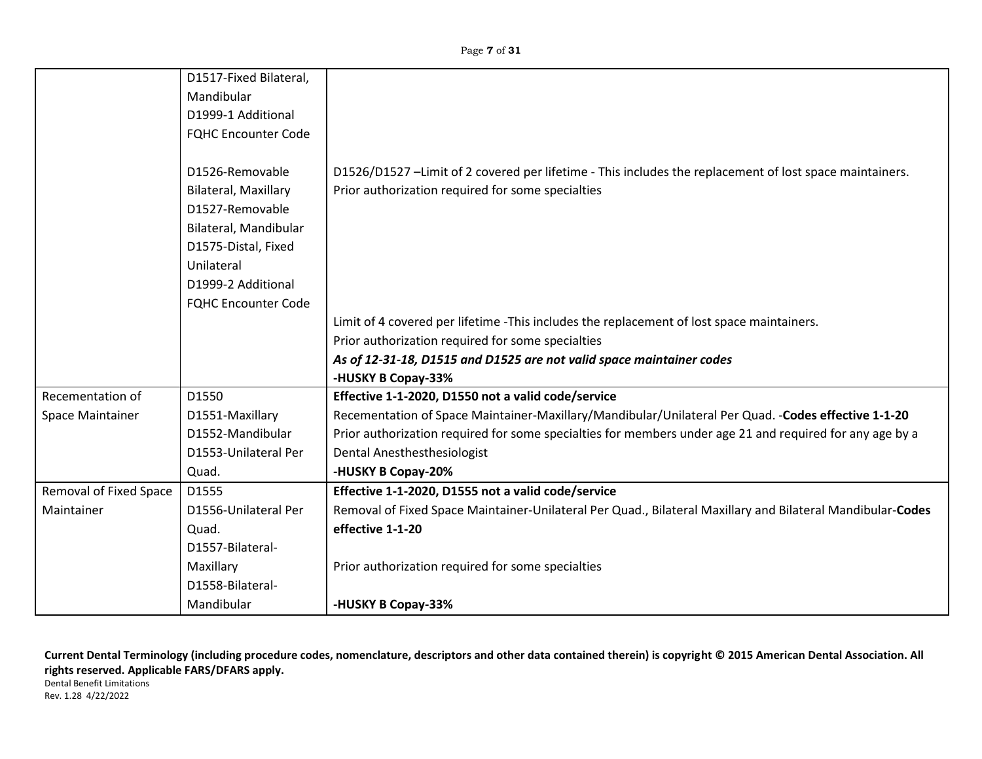|                        | D1517-Fixed Bilateral,      |                                                                                                            |
|------------------------|-----------------------------|------------------------------------------------------------------------------------------------------------|
|                        | Mandibular                  |                                                                                                            |
|                        | D1999-1 Additional          |                                                                                                            |
|                        | <b>FQHC Encounter Code</b>  |                                                                                                            |
|                        |                             |                                                                                                            |
|                        | D1526-Removable             | D1526/D1527 -Limit of 2 covered per lifetime - This includes the replacement of lost space maintainers.    |
|                        | <b>Bilateral, Maxillary</b> | Prior authorization required for some specialties                                                          |
|                        | D1527-Removable             |                                                                                                            |
|                        | Bilateral, Mandibular       |                                                                                                            |
|                        | D1575-Distal, Fixed         |                                                                                                            |
|                        | Unilateral                  |                                                                                                            |
|                        | D1999-2 Additional          |                                                                                                            |
|                        | <b>FQHC Encounter Code</b>  |                                                                                                            |
|                        |                             | Limit of 4 covered per lifetime -This includes the replacement of lost space maintainers.                  |
|                        |                             | Prior authorization required for some specialties                                                          |
|                        |                             | As of 12-31-18, D1515 and D1525 are not valid space maintainer codes                                       |
|                        |                             | -HUSKY B Copay-33%                                                                                         |
| Recementation of       | D1550                       | Effective 1-1-2020, D1550 not a valid code/service                                                         |
| Space Maintainer       | D1551-Maxillary             | Recementation of Space Maintainer-Maxillary/Mandibular/Unilateral Per Quad. - Codes effective 1-1-20       |
|                        | D1552-Mandibular            | Prior authorization required for some specialties for members under age 21 and required for any age by a   |
|                        | D1553-Unilateral Per        | <b>Dental Anesthesthesiologist</b>                                                                         |
|                        | Quad.                       | -HUSKY B Copay-20%                                                                                         |
| Removal of Fixed Space | D1555                       | Effective 1-1-2020, D1555 not a valid code/service                                                         |
| Maintainer             | D1556-Unilateral Per        | Removal of Fixed Space Maintainer-Unilateral Per Quad., Bilateral Maxillary and Bilateral Mandibular-Codes |
|                        | Quad.                       | effective 1-1-20                                                                                           |
|                        | D1557-Bilateral-            |                                                                                                            |
|                        | Maxillary                   | Prior authorization required for some specialties                                                          |
|                        | D1558-Bilateral-            |                                                                                                            |
|                        | Mandibular                  | -HUSKY B Copay-33%                                                                                         |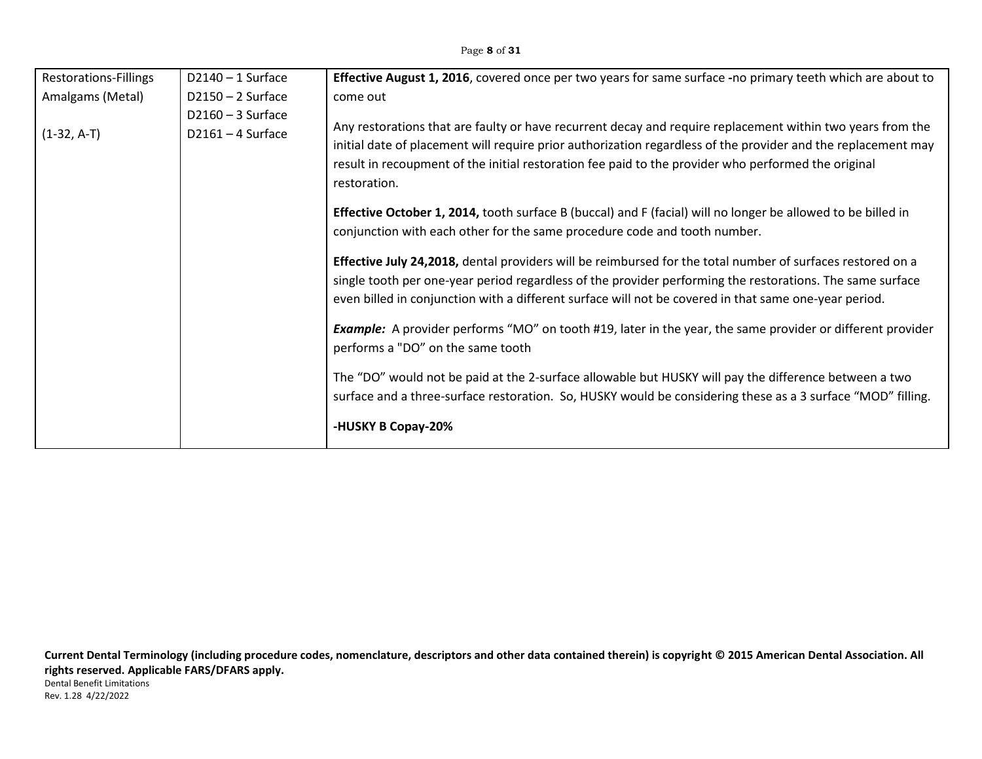| <b>Restorations-Fillings</b> | $D2140 - 1$ Surface                        | Effective August 1, 2016, covered once per two years for same surface -no primary teeth which are about to                                                                                                                                                                                                                                                                                                                                                                                                                                                                                                                                                                                                                                                                                                                                                                                                                                                                                                                                                                                                                                                                                                                                                                                                |
|------------------------------|--------------------------------------------|-----------------------------------------------------------------------------------------------------------------------------------------------------------------------------------------------------------------------------------------------------------------------------------------------------------------------------------------------------------------------------------------------------------------------------------------------------------------------------------------------------------------------------------------------------------------------------------------------------------------------------------------------------------------------------------------------------------------------------------------------------------------------------------------------------------------------------------------------------------------------------------------------------------------------------------------------------------------------------------------------------------------------------------------------------------------------------------------------------------------------------------------------------------------------------------------------------------------------------------------------------------------------------------------------------------|
| Amalgams (Metal)             | $D2150 - 2$ Surface                        | come out                                                                                                                                                                                                                                                                                                                                                                                                                                                                                                                                                                                                                                                                                                                                                                                                                                                                                                                                                                                                                                                                                                                                                                                                                                                                                                  |
| $(1-32, A-T)$                | $D2160 - 3$ Surface<br>$D2161 - 4$ Surface | Any restorations that are faulty or have recurrent decay and require replacement within two years from the<br>initial date of placement will require prior authorization regardless of the provider and the replacement may<br>result in recoupment of the initial restoration fee paid to the provider who performed the original<br>restoration.<br><b>Effective October 1, 2014, tooth surface B (buccal) and F (facial) will no longer be allowed to be billed in</b><br>conjunction with each other for the same procedure code and tooth number.<br><b>Effective July 24,2018, dental providers will be reimbursed for the total number of surfaces restored on a</b><br>single tooth per one-year period regardless of the provider performing the restorations. The same surface<br>even billed in conjunction with a different surface will not be covered in that same one-year period.<br><b>Example:</b> A provider performs "MO" on tooth #19, later in the year, the same provider or different provider<br>performs a "DO" on the same tooth<br>The "DO" would not be paid at the 2-surface allowable but HUSKY will pay the difference between a two<br>surface and a three-surface restoration. So, HUSKY would be considering these as a 3 surface "MOD" filling.<br>-HUSKY B Copay-20% |
|                              |                                            |                                                                                                                                                                                                                                                                                                                                                                                                                                                                                                                                                                                                                                                                                                                                                                                                                                                                                                                                                                                                                                                                                                                                                                                                                                                                                                           |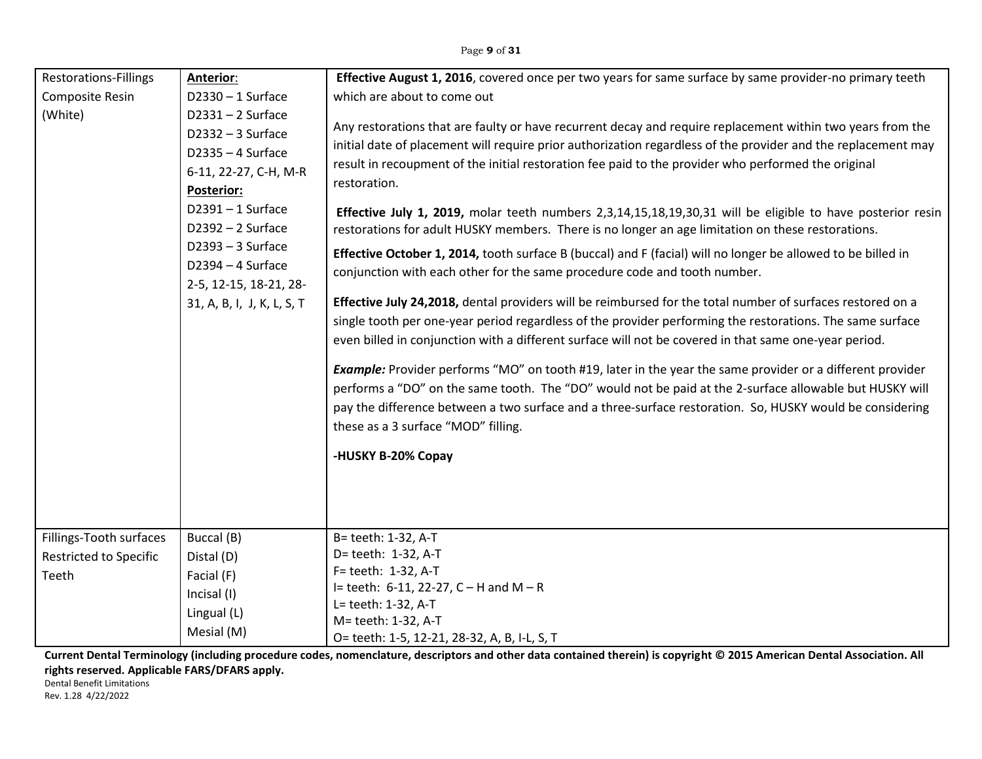| <b>Restorations-Fillings</b><br>Composite Resin                   | <b>Anterior:</b><br>$D2330 - 1$ Surface                                                                                                                                                                                                                                                                                          | Effective August 1, 2016, covered once per two years for same surface by same provider-no primary teeth<br>which are about to come out                                                                                                                                                                                                                                  |
|-------------------------------------------------------------------|----------------------------------------------------------------------------------------------------------------------------------------------------------------------------------------------------------------------------------------------------------------------------------------------------------------------------------|-------------------------------------------------------------------------------------------------------------------------------------------------------------------------------------------------------------------------------------------------------------------------------------------------------------------------------------------------------------------------|
| (White)                                                           | $D2331 - 2$ Surface<br>$D2332 - 3$ Surface<br>$D2335 - 4$ Surface<br>6-11, 22-27, C-H, M-R<br>Posterior:                                                                                                                                                                                                                         | Any restorations that are faulty or have recurrent decay and require replacement within two years from the<br>initial date of placement will require prior authorization regardless of the provider and the replacement may<br>result in recoupment of the initial restoration fee paid to the provider who performed the original<br>restoration.                      |
|                                                                   | $D2391 - 1$ Surface<br>$D2392 - 2$ Surface                                                                                                                                                                                                                                                                                       | Effective July 1, 2019, molar teeth numbers 2,3,14,15,18,19,30,31 will be eligible to have posterior resin<br>restorations for adult HUSKY members. There is no longer an age limitation on these restorations.                                                                                                                                                         |
|                                                                   | D2393 - 3 Surface<br>D2394 - 4 Surface<br>2-5, 12-15, 18-21, 28-                                                                                                                                                                                                                                                                 | Effective October 1, 2014, tooth surface B (buccal) and F (facial) will no longer be allowed to be billed in<br>conjunction with each other for the same procedure code and tooth number.                                                                                                                                                                               |
| 31, A, B, I, J, K, L, S, T                                        | Effective July 24,2018, dental providers will be reimbursed for the total number of surfaces restored on a<br>single tooth per one-year period regardless of the provider performing the restorations. The same surface<br>even billed in conjunction with a different surface will not be covered in that same one-year period. |                                                                                                                                                                                                                                                                                                                                                                         |
|                                                                   |                                                                                                                                                                                                                                                                                                                                  | Example: Provider performs "MO" on tooth #19, later in the year the same provider or a different provider<br>performs a "DO" on the same tooth. The "DO" would not be paid at the 2-surface allowable but HUSKY will<br>pay the difference between a two surface and a three-surface restoration. So, HUSKY would be considering<br>these as a 3 surface "MOD" filling. |
|                                                                   |                                                                                                                                                                                                                                                                                                                                  | -HUSKY B-20% Copay                                                                                                                                                                                                                                                                                                                                                      |
| Fillings-Tooth surfaces<br><b>Restricted to Specific</b><br>Teeth | Buccal (B)<br>Distal (D)<br>Facial (F)<br>Incisal (I)<br>Lingual (L)<br>Mesial (M)                                                                                                                                                                                                                                               | B= teeth: 1-32, A-T<br>D= teeth: 1-32, A-T<br>F= teeth: 1-32, A-T<br>I= teeth: $6-11$ , 22-27, C - H and M - R<br>L= teeth: 1-32, A-T<br>M= teeth: 1-32, A-T<br>O= teeth: 1-5, 12-21, 28-32, A, B, I-L, S, T                                                                                                                                                            |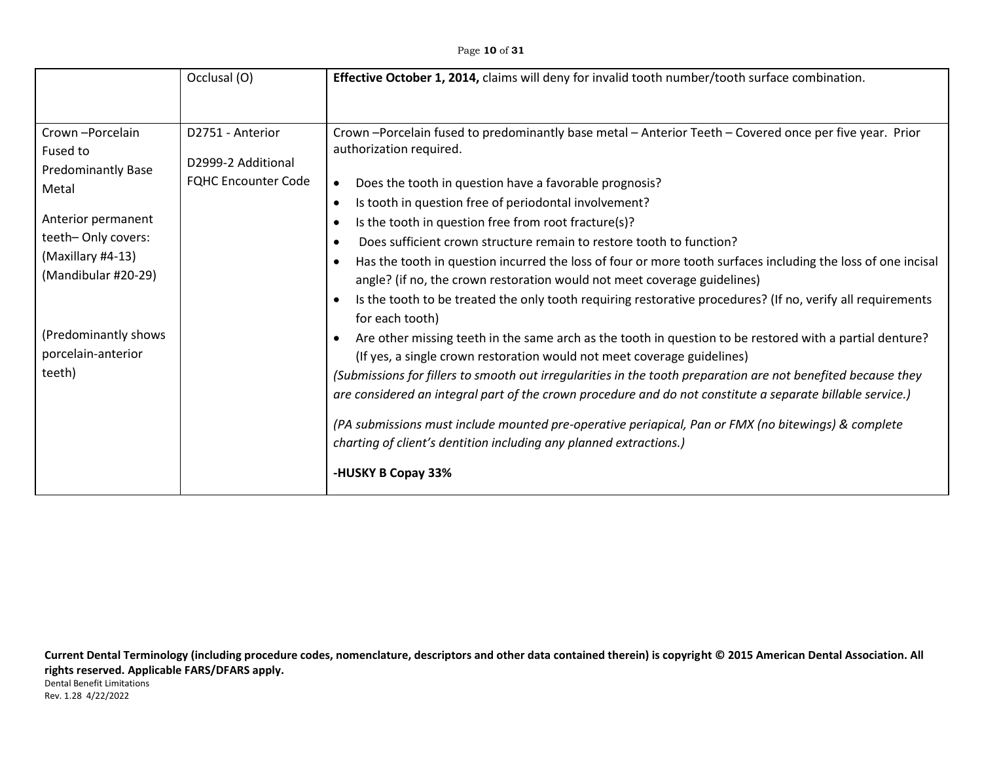|                                                                                                                                                                                                                   | Occlusal (O)                                                         | Effective October 1, 2014, claims will deny for invalid tooth number/tooth surface combination.                                                                                                                                                                                                                                                                                                                                                                                                                                                                                                                                                                                                                                                                                                                                                                                                                                                                                                                                                                                                                                                                                                                                                                                                                   |
|-------------------------------------------------------------------------------------------------------------------------------------------------------------------------------------------------------------------|----------------------------------------------------------------------|-------------------------------------------------------------------------------------------------------------------------------------------------------------------------------------------------------------------------------------------------------------------------------------------------------------------------------------------------------------------------------------------------------------------------------------------------------------------------------------------------------------------------------------------------------------------------------------------------------------------------------------------------------------------------------------------------------------------------------------------------------------------------------------------------------------------------------------------------------------------------------------------------------------------------------------------------------------------------------------------------------------------------------------------------------------------------------------------------------------------------------------------------------------------------------------------------------------------------------------------------------------------------------------------------------------------|
| Crown-Porcelain<br>Fused to<br><b>Predominantly Base</b><br>Metal<br>Anterior permanent<br>teeth-Only covers:<br>(Maxillary #4-13)<br>(Mandibular #20-29)<br>(Predominantly shows<br>porcelain-anterior<br>teeth) | D2751 - Anterior<br>D2999-2 Additional<br><b>FQHC Encounter Code</b> | Crown -Porcelain fused to predominantly base metal - Anterior Teeth - Covered once per five year. Prior<br>authorization required.<br>Does the tooth in question have a favorable prognosis?<br>$\bullet$<br>Is tooth in question free of periodontal involvement?<br>$\bullet$<br>Is the tooth in question free from root fracture(s)?<br>$\bullet$<br>Does sufficient crown structure remain to restore tooth to function?<br>Has the tooth in question incurred the loss of four or more tooth surfaces including the loss of one incisal<br>$\bullet$<br>angle? (if no, the crown restoration would not meet coverage guidelines)<br>Is the tooth to be treated the only tooth requiring restorative procedures? (If no, verify all requirements<br>$\bullet$<br>for each tooth)<br>Are other missing teeth in the same arch as the tooth in question to be restored with a partial denture?<br>(If yes, a single crown restoration would not meet coverage guidelines)<br>(Submissions for fillers to smooth out irregularities in the tooth preparation are not benefited because they<br>are considered an integral part of the crown procedure and do not constitute a separate billable service.)<br>(PA submissions must include mounted pre-operative periapical, Pan or FMX (no bitewings) & complete |
|                                                                                                                                                                                                                   |                                                                      | charting of client's dentition including any planned extractions.)<br>-HUSKY B Copay 33%                                                                                                                                                                                                                                                                                                                                                                                                                                                                                                                                                                                                                                                                                                                                                                                                                                                                                                                                                                                                                                                                                                                                                                                                                          |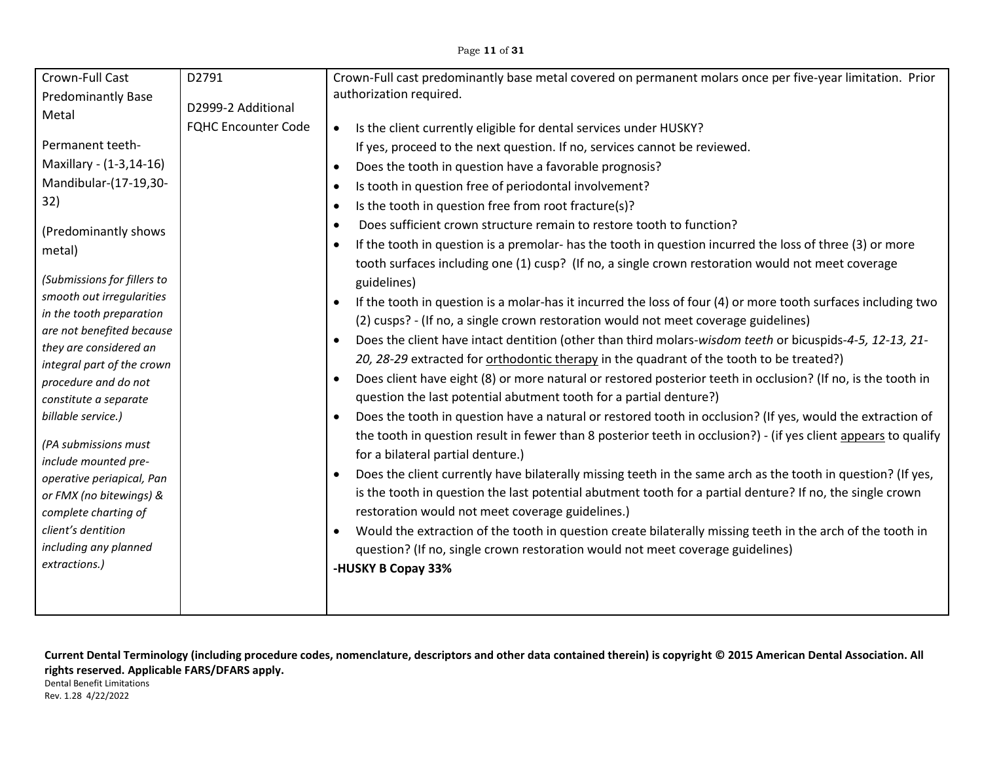#### Page **11** of **31**

| Crown-Full Cast                                     | D2791                      | Crown-Full cast predominantly base metal covered on permanent molars once per five-year limitation. Prior                  |
|-----------------------------------------------------|----------------------------|----------------------------------------------------------------------------------------------------------------------------|
| <b>Predominantly Base</b>                           | D2999-2 Additional         | authorization required.                                                                                                    |
| Metal                                               |                            |                                                                                                                            |
|                                                     | <b>FQHC Encounter Code</b> | Is the client currently eligible for dental services under HUSKY?<br>$\bullet$                                             |
| Permanent teeth-                                    |                            | If yes, proceed to the next question. If no, services cannot be reviewed.                                                  |
| Maxillary - (1-3,14-16)                             |                            | Does the tooth in question have a favorable prognosis?<br>$\bullet$                                                        |
| Mandibular-(17-19,30-                               |                            | Is tooth in question free of periodontal involvement?<br>$\bullet$                                                         |
| 32)                                                 |                            | Is the tooth in question free from root fracture(s)?<br>$\bullet$                                                          |
| (Predominantly shows                                |                            | Does sufficient crown structure remain to restore tooth to function?<br>$\bullet$                                          |
| metal)                                              |                            | If the tooth in question is a premolar- has the tooth in question incurred the loss of three (3) or more                   |
|                                                     |                            | tooth surfaces including one (1) cusp? (If no, a single crown restoration would not meet coverage                          |
| (Submissions for fillers to                         |                            | guidelines)                                                                                                                |
| smooth out irregularities                           |                            | If the tooth in question is a molar-has it incurred the loss of four (4) or more tooth surfaces including two<br>$\bullet$ |
| in the tooth preparation                            |                            | (2) cusps? - (If no, a single crown restoration would not meet coverage guidelines)                                        |
| are not benefited because<br>they are considered an |                            | Does the client have intact dentition (other than third molars-wisdom teeth or bicuspids-4-5, 12-13, 21-                   |
| integral part of the crown                          |                            | 20, 28-29 extracted for orthodontic therapy in the quadrant of the tooth to be treated?)                                   |
| procedure and do not                                |                            | Does client have eight (8) or more natural or restored posterior teeth in occlusion? (If no, is the tooth in<br>$\bullet$  |
| constitute a separate                               |                            | question the last potential abutment tooth for a partial denture?)                                                         |
| billable service.)                                  |                            | Does the tooth in question have a natural or restored tooth in occlusion? (If yes, would the extraction of<br>$\bullet$    |
|                                                     |                            | the tooth in question result in fewer than 8 posterior teeth in occlusion?) - (if yes client appears to qualify            |
| (PA submissions must                                |                            | for a bilateral partial denture.)                                                                                          |
| include mounted pre-<br>operative periapical, Pan   |                            | Does the client currently have bilaterally missing teeth in the same arch as the tooth in question? (If yes,<br>$\bullet$  |
| or FMX (no bitewings) &                             |                            | is the tooth in question the last potential abutment tooth for a partial denture? If no, the single crown                  |
| complete charting of                                |                            | restoration would not meet coverage guidelines.)                                                                           |
| client's dentition                                  |                            | Would the extraction of the tooth in question create bilaterally missing teeth in the arch of the tooth in<br>$\bullet$    |
| including any planned                               |                            | question? (If no, single crown restoration would not meet coverage guidelines)                                             |
| extractions.)                                       |                            | -HUSKY B Copay 33%                                                                                                         |
|                                                     |                            |                                                                                                                            |
|                                                     |                            |                                                                                                                            |

**Current Dental Terminology (including procedure codes, nomenclature, descriptors and other data contained therein) is copyright © 2015 American Dental Association. All rights reserved. Applicable FARS/DFARS apply.**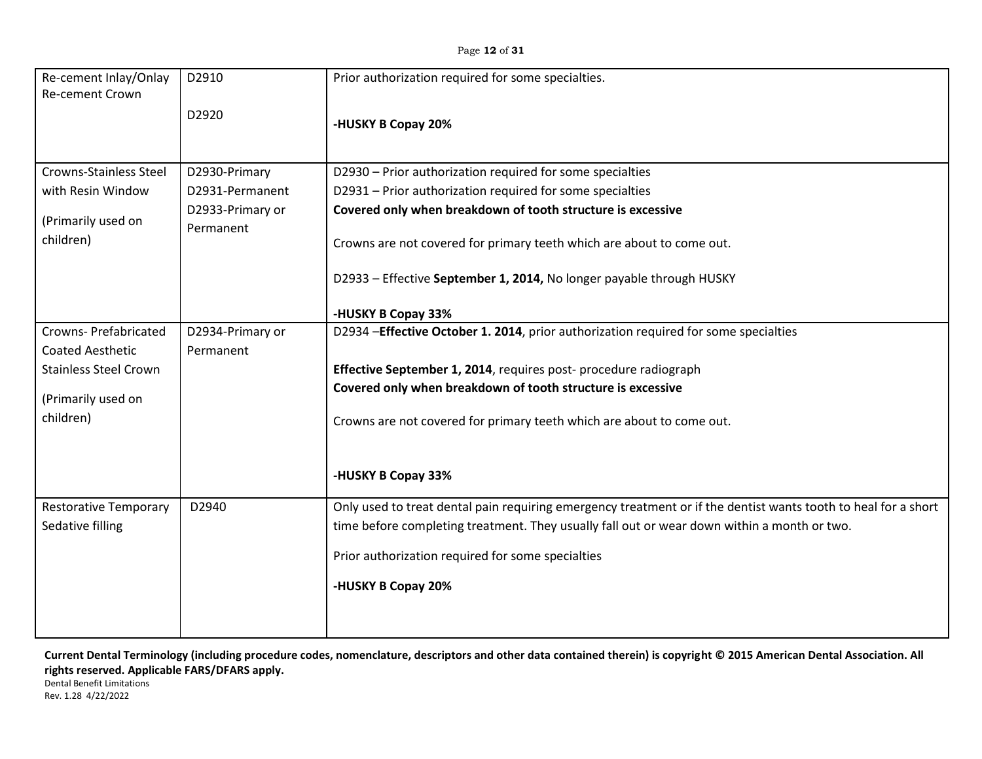| Re-cement Inlay/Onlay                                                                                                     | D2910                                                             | Prior authorization required for some specialties.                                                                                                                                                                                                                                                                                                           |
|---------------------------------------------------------------------------------------------------------------------------|-------------------------------------------------------------------|--------------------------------------------------------------------------------------------------------------------------------------------------------------------------------------------------------------------------------------------------------------------------------------------------------------------------------------------------------------|
| Re-cement Crown                                                                                                           | D2920                                                             | -HUSKY B Copay 20%                                                                                                                                                                                                                                                                                                                                           |
| Crowns-Stainless Steel<br>with Resin Window<br>(Primarily used on<br>children)                                            | D2930-Primary<br>D2931-Permanent<br>D2933-Primary or<br>Permanent | D2930 - Prior authorization required for some specialties<br>D2931 - Prior authorization required for some specialties<br>Covered only when breakdown of tooth structure is excessive<br>Crowns are not covered for primary teeth which are about to come out.<br>D2933 - Effective September 1, 2014, No longer payable through HUSKY<br>-HUSKY B Copay 33% |
| <b>Crowns-Prefabricated</b><br><b>Coated Aesthetic</b><br><b>Stainless Steel Crown</b><br>(Primarily used on<br>children) | D2934-Primary or<br>Permanent                                     | D2934 - Effective October 1. 2014, prior authorization required for some specialties<br>Effective September 1, 2014, requires post-procedure radiograph<br>Covered only when breakdown of tooth structure is excessive<br>Crowns are not covered for primary teeth which are about to come out.<br>-HUSKY B Copay 33%                                        |
| <b>Restorative Temporary</b><br>Sedative filling                                                                          | D2940                                                             | Only used to treat dental pain requiring emergency treatment or if the dentist wants tooth to heal for a short<br>time before completing treatment. They usually fall out or wear down within a month or two.<br>Prior authorization required for some specialties<br>-HUSKY B Copay 20%                                                                     |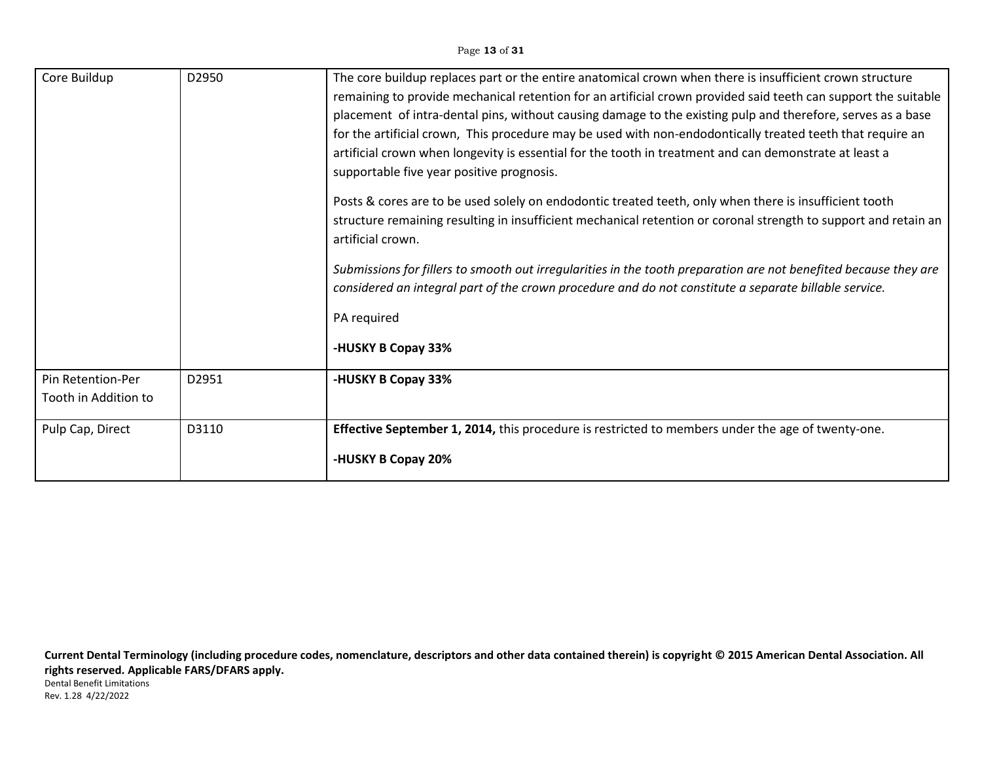### Page **13** of **31**

| Core Buildup                              | D2950 | The core buildup replaces part or the entire anatomical crown when there is insufficient crown structure<br>remaining to provide mechanical retention for an artificial crown provided said teeth can support the suitable<br>placement of intra-dental pins, without causing damage to the existing pulp and therefore, serves as a base<br>for the artificial crown, This procedure may be used with non-endodontically treated teeth that require an<br>artificial crown when longevity is essential for the tooth in treatment and can demonstrate at least a<br>supportable five year positive prognosis. |
|-------------------------------------------|-------|----------------------------------------------------------------------------------------------------------------------------------------------------------------------------------------------------------------------------------------------------------------------------------------------------------------------------------------------------------------------------------------------------------------------------------------------------------------------------------------------------------------------------------------------------------------------------------------------------------------|
|                                           |       | Posts & cores are to be used solely on endodontic treated teeth, only when there is insufficient tooth<br>structure remaining resulting in insufficient mechanical retention or coronal strength to support and retain an<br>artificial crown.                                                                                                                                                                                                                                                                                                                                                                 |
|                                           |       | Submissions for fillers to smooth out irregularities in the tooth preparation are not benefited because they are<br>considered an integral part of the crown procedure and do not constitute a separate billable service.                                                                                                                                                                                                                                                                                                                                                                                      |
|                                           |       | PA required                                                                                                                                                                                                                                                                                                                                                                                                                                                                                                                                                                                                    |
|                                           |       | -HUSKY B Copay 33%                                                                                                                                                                                                                                                                                                                                                                                                                                                                                                                                                                                             |
| Pin Retention-Per<br>Tooth in Addition to | D2951 | -HUSKY B Copay 33%                                                                                                                                                                                                                                                                                                                                                                                                                                                                                                                                                                                             |
| Pulp Cap, Direct                          | D3110 | Effective September 1, 2014, this procedure is restricted to members under the age of twenty-one.                                                                                                                                                                                                                                                                                                                                                                                                                                                                                                              |
|                                           |       | -HUSKY B Copay 20%                                                                                                                                                                                                                                                                                                                                                                                                                                                                                                                                                                                             |

**Current Dental Terminology (including procedure codes, nomenclature, descriptors and other data contained therein) is copyright © 2015 American Dental Association. All rights reserved. Applicable FARS/DFARS apply.** Dental Benefit Limitations Rev. 1.28 4/22/2022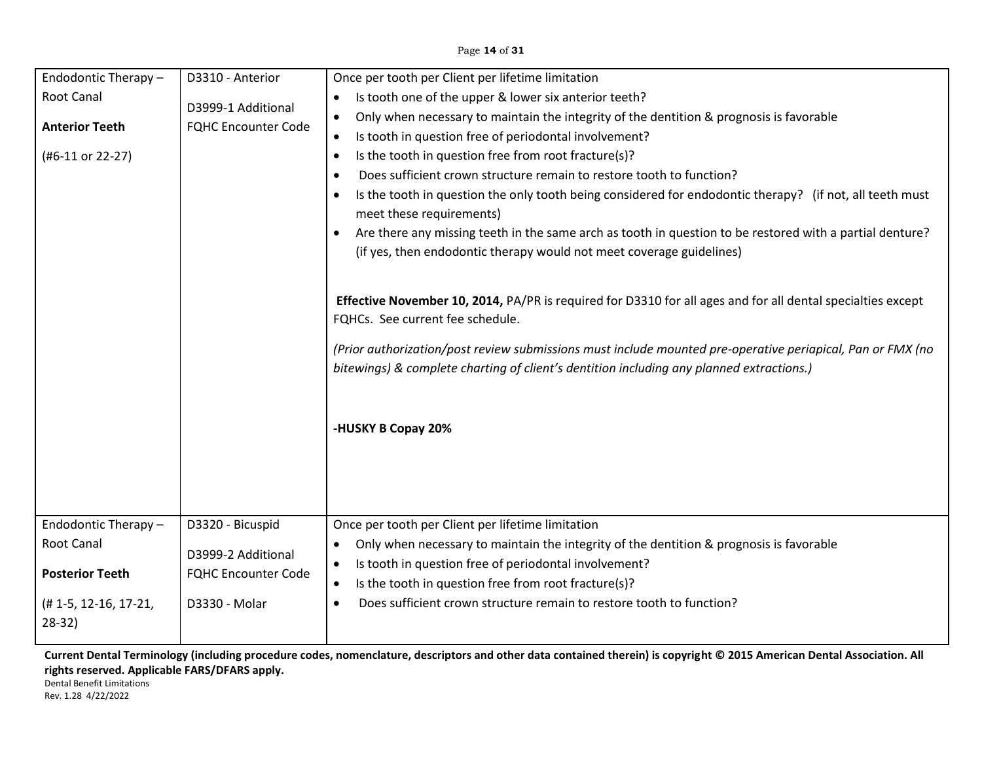## Page **14** of **31**

| Endodontic Therapy -<br>Root Canal<br><b>Anterior Teeth</b><br>(#6-11 or 22-27)                            | D3310 - Anterior<br>D3999-1 Additional<br><b>FQHC Encounter Code</b>                  | Once per tooth per Client per lifetime limitation<br>Is tooth one of the upper & lower six anterior teeth?<br>Only when necessary to maintain the integrity of the dentition & prognosis is favorable<br>$\bullet$<br>Is tooth in question free of periodontal involvement?<br>$\bullet$<br>Is the tooth in question free from root fracture(s)?<br>$\bullet$<br>Does sufficient crown structure remain to restore tooth to function?<br>$\bullet$<br>Is the tooth in question the only tooth being considered for endodontic therapy? (if not, all teeth must<br>$\bullet$<br>meet these requirements)<br>Are there any missing teeth in the same arch as tooth in question to be restored with a partial denture?<br>$\bullet$<br>(if yes, then endodontic therapy would not meet coverage guidelines)<br>Effective November 10, 2014, PA/PR is required for D3310 for all ages and for all dental specialties except<br>FQHCs. See current fee schedule.<br>(Prior authorization/post review submissions must include mounted pre-operative periapical, Pan or FMX (no<br>bitewings) & complete charting of client's dentition including any planned extractions.)<br>-HUSKY B Copay 20% |
|------------------------------------------------------------------------------------------------------------|---------------------------------------------------------------------------------------|---------------------------------------------------------------------------------------------------------------------------------------------------------------------------------------------------------------------------------------------------------------------------------------------------------------------------------------------------------------------------------------------------------------------------------------------------------------------------------------------------------------------------------------------------------------------------------------------------------------------------------------------------------------------------------------------------------------------------------------------------------------------------------------------------------------------------------------------------------------------------------------------------------------------------------------------------------------------------------------------------------------------------------------------------------------------------------------------------------------------------------------------------------------------------------------------|
|                                                                                                            |                                                                                       |                                                                                                                                                                                                                                                                                                                                                                                                                                                                                                                                                                                                                                                                                                                                                                                                                                                                                                                                                                                                                                                                                                                                                                                             |
| Endodontic Therapy -<br><b>Root Canal</b><br><b>Posterior Teeth</b><br>$(H 1-5, 12-16, 17-21,$<br>$28-32)$ | D3320 - Bicuspid<br>D3999-2 Additional<br><b>FQHC Encounter Code</b><br>D3330 - Molar | Once per tooth per Client per lifetime limitation<br>Only when necessary to maintain the integrity of the dentition & prognosis is favorable<br>$\bullet$<br>Is tooth in question free of periodontal involvement?<br>$\bullet$<br>Is the tooth in question free from root fracture(s)?<br>٠<br>Does sufficient crown structure remain to restore tooth to function?<br>$\bullet$                                                                                                                                                                                                                                                                                                                                                                                                                                                                                                                                                                                                                                                                                                                                                                                                           |

**Current Dental Terminology (including procedure codes, nomenclature, descriptors and other data contained therein) is copyright © 2015 American Dental Association. All rights reserved. Applicable FARS/DFARS apply.**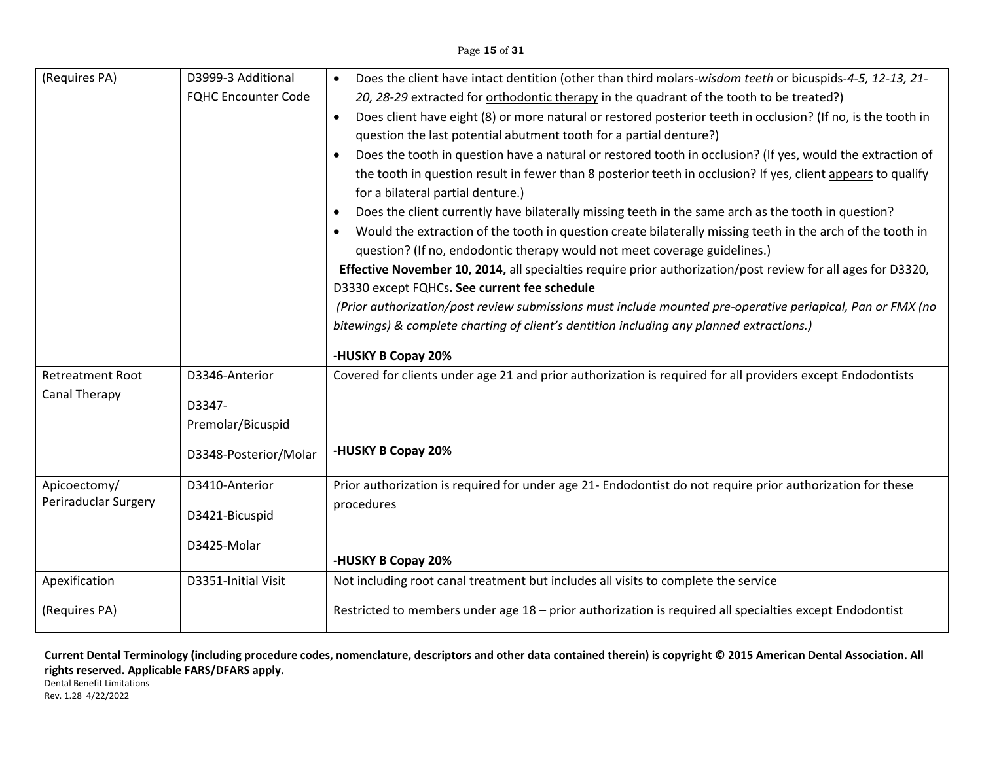### Page **15** of **31**

| (Requires PA)           | D3999-3 Additional         | Does the client have intact dentition (other than third molars-wisdom teeth or bicuspids-4-5, 12-13, 21-<br>$\bullet$     |
|-------------------------|----------------------------|---------------------------------------------------------------------------------------------------------------------------|
|                         | <b>FQHC Encounter Code</b> | 20, 28-29 extracted for orthodontic therapy in the quadrant of the tooth to be treated?)                                  |
|                         |                            | Does client have eight (8) or more natural or restored posterior teeth in occlusion? (If no, is the tooth in<br>$\bullet$ |
|                         |                            | question the last potential abutment tooth for a partial denture?)                                                        |
|                         |                            | Does the tooth in question have a natural or restored tooth in occlusion? (If yes, would the extraction of<br>$\bullet$   |
|                         |                            | the tooth in question result in fewer than 8 posterior teeth in occlusion? If yes, client appears to qualify              |
|                         |                            | for a bilateral partial denture.)                                                                                         |
|                         |                            | Does the client currently have bilaterally missing teeth in the same arch as the tooth in question?<br>$\bullet$          |
|                         |                            | Would the extraction of the tooth in question create bilaterally missing teeth in the arch of the tooth in                |
|                         |                            | question? (If no, endodontic therapy would not meet coverage guidelines.)                                                 |
|                         |                            | Effective November 10, 2014, all specialties require prior authorization/post review for all ages for D3320,              |
|                         |                            | D3330 except FQHCs. See current fee schedule                                                                              |
|                         |                            | (Prior authorization/post review submissions must include mounted pre-operative periapical, Pan or FMX (no                |
|                         |                            | bitewings) & complete charting of client's dentition including any planned extractions.)                                  |
|                         |                            | -HUSKY B Copay 20%                                                                                                        |
| <b>Retreatment Root</b> | D3346-Anterior             | Covered for clients under age 21 and prior authorization is required for all providers except Endodontists                |
| <b>Canal Therapy</b>    | D3347-                     |                                                                                                                           |
|                         | Premolar/Bicuspid          |                                                                                                                           |
|                         |                            |                                                                                                                           |
|                         | D3348-Posterior/Molar      | -HUSKY B Copay 20%                                                                                                        |
| Apicoectomy/            | D3410-Anterior             | Prior authorization is required for under age 21- Endodontist do not require prior authorization for these                |
| Periraduclar Surgery    | D3421-Bicuspid             | procedures                                                                                                                |
|                         |                            |                                                                                                                           |
|                         | D3425-Molar                |                                                                                                                           |
|                         |                            | -HUSKY B Copay 20%                                                                                                        |
| Apexification           | D3351-Initial Visit        | Not including root canal treatment but includes all visits to complete the service                                        |
| (Requires PA)           |                            | Restricted to members under age 18 - prior authorization is required all specialties except Endodontist                   |

**Current Dental Terminology (including procedure codes, nomenclature, descriptors and other data contained therein) is copyright © 2015 American Dental Association. All rights reserved. Applicable FARS/DFARS apply.**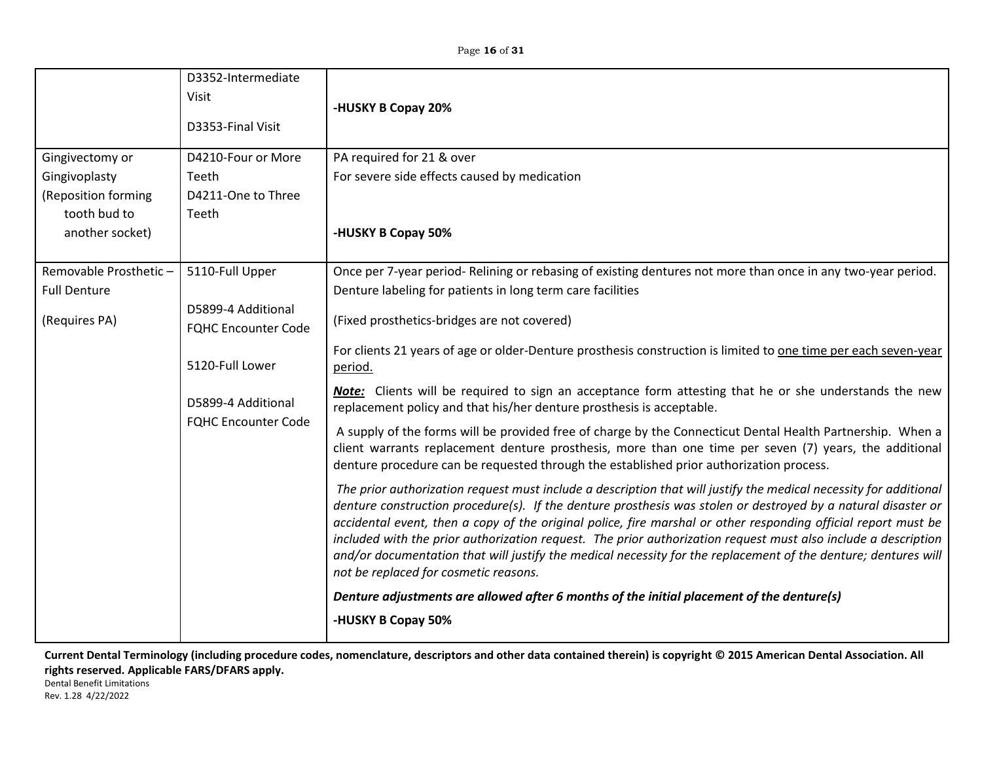| Gingivectomy or                      | D3352-Intermediate<br>Visit<br>D3353-Final Visit<br>D4210-Four or More | -HUSKY B Copay 20%<br>PA required for 21 & over                                                                                                                                                                                                                                                                                                                                                                                                                                                                                                                                                                                   |
|--------------------------------------|------------------------------------------------------------------------|-----------------------------------------------------------------------------------------------------------------------------------------------------------------------------------------------------------------------------------------------------------------------------------------------------------------------------------------------------------------------------------------------------------------------------------------------------------------------------------------------------------------------------------------------------------------------------------------------------------------------------------|
| Gingivoplasty<br>(Reposition forming | Teeth<br>D4211-One to Three                                            | For severe side effects caused by medication                                                                                                                                                                                                                                                                                                                                                                                                                                                                                                                                                                                      |
| tooth bud to                         | Teeth                                                                  |                                                                                                                                                                                                                                                                                                                                                                                                                                                                                                                                                                                                                                   |
| another socket)                      |                                                                        | -HUSKY B Copay 50%                                                                                                                                                                                                                                                                                                                                                                                                                                                                                                                                                                                                                |
| Removable Prosthetic-                | 5110-Full Upper                                                        | Once per 7-year period- Relining or rebasing of existing dentures not more than once in any two-year period.                                                                                                                                                                                                                                                                                                                                                                                                                                                                                                                      |
| <b>Full Denture</b>                  |                                                                        | Denture labeling for patients in long term care facilities                                                                                                                                                                                                                                                                                                                                                                                                                                                                                                                                                                        |
| (Requires PA)                        | D5899-4 Additional<br><b>FQHC Encounter Code</b>                       | (Fixed prosthetics-bridges are not covered)                                                                                                                                                                                                                                                                                                                                                                                                                                                                                                                                                                                       |
|                                      | 5120-Full Lower                                                        | For clients 21 years of age or older-Denture prosthesis construction is limited to one time per each seven-year<br>period.                                                                                                                                                                                                                                                                                                                                                                                                                                                                                                        |
|                                      | D5899-4 Additional                                                     | <b>Note:</b> Clients will be required to sign an acceptance form attesting that he or she understands the new<br>replacement policy and that his/her denture prosthesis is acceptable.                                                                                                                                                                                                                                                                                                                                                                                                                                            |
|                                      | <b>FQHC Encounter Code</b>                                             | A supply of the forms will be provided free of charge by the Connecticut Dental Health Partnership. When a<br>client warrants replacement denture prosthesis, more than one time per seven (7) years, the additional<br>denture procedure can be requested through the established prior authorization process.                                                                                                                                                                                                                                                                                                                   |
|                                      |                                                                        | The prior authorization request must include a description that will justify the medical necessity for additional<br>denture construction procedure(s). If the denture prosthesis was stolen or destroyed by a natural disaster or<br>accidental event, then a copy of the original police, fire marshal or other responding official report must be<br>included with the prior authorization request. The prior authorization request must also include a description<br>and/or documentation that will justify the medical necessity for the replacement of the denture; dentures will<br>not be replaced for cosmetic reasons. |
|                                      |                                                                        | Denture adjustments are allowed after 6 months of the initial placement of the denture(s)                                                                                                                                                                                                                                                                                                                                                                                                                                                                                                                                         |
|                                      |                                                                        | -HUSKY B Copay 50%                                                                                                                                                                                                                                                                                                                                                                                                                                                                                                                                                                                                                |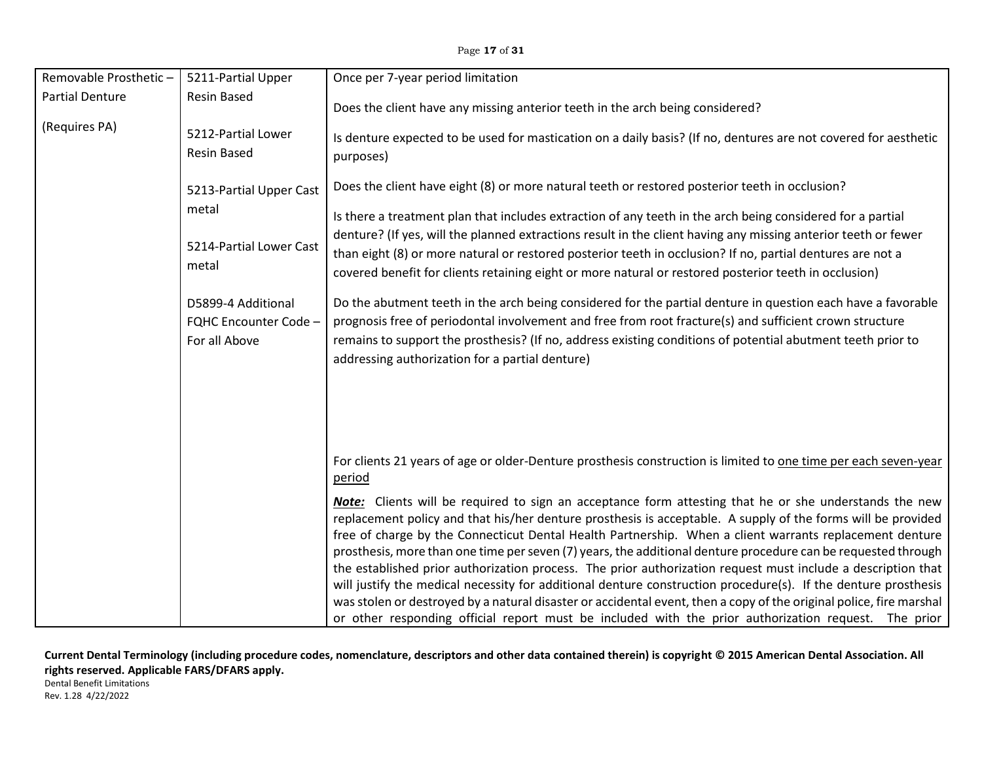| Removable Prosthetic-                   | 5211-Partial Upper                                           | Once per 7-year period limitation                                                                                                                                                                                                                                                                                                                                                                                                                                                                                                                                                                                                                                                                                                                                                                                                                                                                                          |
|-----------------------------------------|--------------------------------------------------------------|----------------------------------------------------------------------------------------------------------------------------------------------------------------------------------------------------------------------------------------------------------------------------------------------------------------------------------------------------------------------------------------------------------------------------------------------------------------------------------------------------------------------------------------------------------------------------------------------------------------------------------------------------------------------------------------------------------------------------------------------------------------------------------------------------------------------------------------------------------------------------------------------------------------------------|
| <b>Partial Denture</b><br>(Requires PA) | <b>Resin Based</b>                                           | Does the client have any missing anterior teeth in the arch being considered?                                                                                                                                                                                                                                                                                                                                                                                                                                                                                                                                                                                                                                                                                                                                                                                                                                              |
|                                         | 5212-Partial Lower<br><b>Resin Based</b>                     | Is denture expected to be used for mastication on a daily basis? (If no, dentures are not covered for aesthetic<br>purposes)                                                                                                                                                                                                                                                                                                                                                                                                                                                                                                                                                                                                                                                                                                                                                                                               |
|                                         | 5213-Partial Upper Cast                                      | Does the client have eight (8) or more natural teeth or restored posterior teeth in occlusion?                                                                                                                                                                                                                                                                                                                                                                                                                                                                                                                                                                                                                                                                                                                                                                                                                             |
|                                         | metal                                                        | Is there a treatment plan that includes extraction of any teeth in the arch being considered for a partial                                                                                                                                                                                                                                                                                                                                                                                                                                                                                                                                                                                                                                                                                                                                                                                                                 |
|                                         | 5214-Partial Lower Cast<br>metal                             | denture? (If yes, will the planned extractions result in the client having any missing anterior teeth or fewer<br>than eight (8) or more natural or restored posterior teeth in occlusion? If no, partial dentures are not a<br>covered benefit for clients retaining eight or more natural or restored posterior teeth in occlusion)                                                                                                                                                                                                                                                                                                                                                                                                                                                                                                                                                                                      |
|                                         | D5899-4 Additional<br>FQHC Encounter Code -<br>For all Above | Do the abutment teeth in the arch being considered for the partial denture in question each have a favorable<br>prognosis free of periodontal involvement and free from root fracture(s) and sufficient crown structure<br>remains to support the prosthesis? (If no, address existing conditions of potential abutment teeth prior to<br>addressing authorization for a partial denture)                                                                                                                                                                                                                                                                                                                                                                                                                                                                                                                                  |
|                                         |                                                              |                                                                                                                                                                                                                                                                                                                                                                                                                                                                                                                                                                                                                                                                                                                                                                                                                                                                                                                            |
|                                         |                                                              | For clients 21 years of age or older-Denture prosthesis construction is limited to one time per each seven-year<br><u>period</u>                                                                                                                                                                                                                                                                                                                                                                                                                                                                                                                                                                                                                                                                                                                                                                                           |
|                                         |                                                              | <b>Note:</b> Clients will be required to sign an acceptance form attesting that he or she understands the new<br>replacement policy and that his/her denture prosthesis is acceptable. A supply of the forms will be provided<br>free of charge by the Connecticut Dental Health Partnership. When a client warrants replacement denture<br>prosthesis, more than one time per seven (7) years, the additional denture procedure can be requested through<br>the established prior authorization process. The prior authorization request must include a description that<br>will justify the medical necessity for additional denture construction procedure(s). If the denture prosthesis<br>was stolen or destroyed by a natural disaster or accidental event, then a copy of the original police, fire marshal<br>or other responding official report must be included with the prior authorization request. The prior |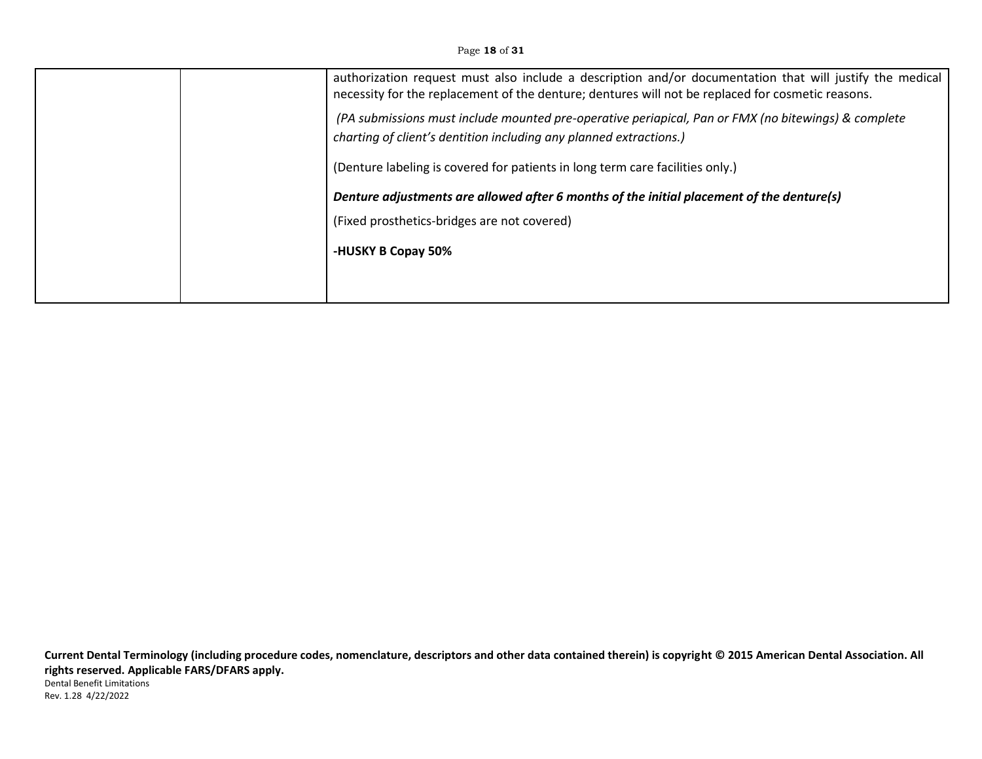Page **18** of **31**

| authorization request must also include a description and/or documentation that will justify the medical<br>necessity for the replacement of the denture; dentures will not be replaced for cosmetic reasons. |
|---------------------------------------------------------------------------------------------------------------------------------------------------------------------------------------------------------------|
| (PA submissions must include mounted pre-operative periapical, Pan or FMX (no bitewings) & complete<br>charting of client's dentition including any planned extractions.)                                     |
| (Denture labeling is covered for patients in long term care facilities only.)                                                                                                                                 |
| Denture adjustments are allowed after 6 months of the initial placement of the denture(s)                                                                                                                     |
| (Fixed prosthetics-bridges are not covered)                                                                                                                                                                   |
| -HUSKY B Copay 50%                                                                                                                                                                                            |
|                                                                                                                                                                                                               |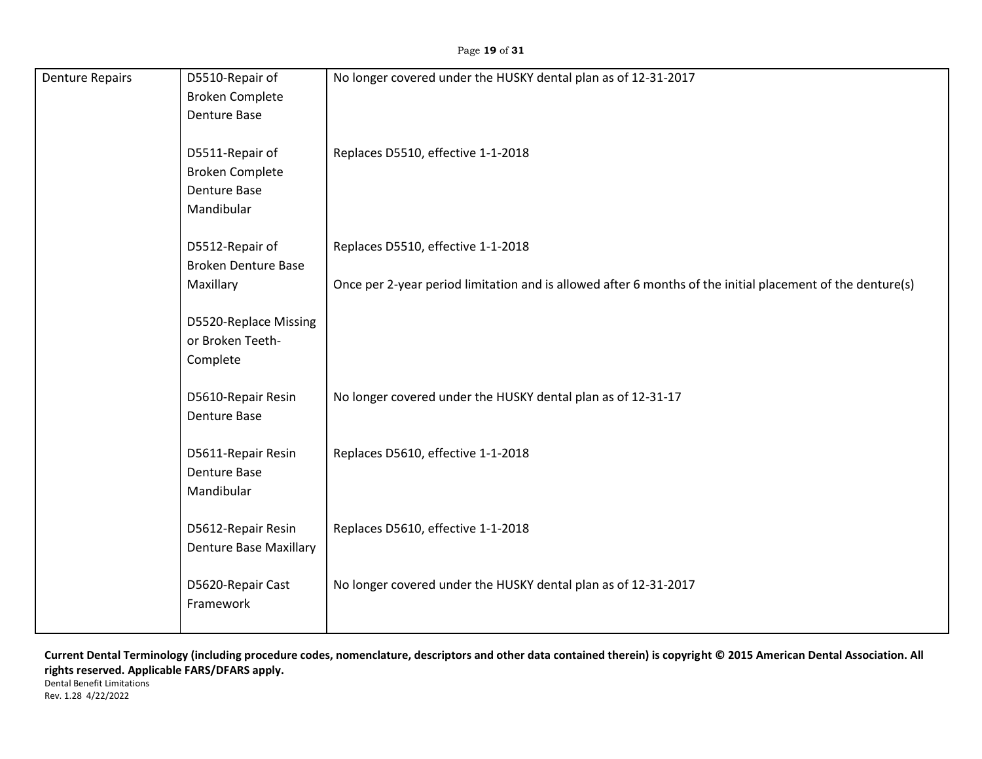| <b>Denture Repairs</b> | D5510-Repair of               | No longer covered under the HUSKY dental plan as of 12-31-2017                                             |
|------------------------|-------------------------------|------------------------------------------------------------------------------------------------------------|
|                        | <b>Broken Complete</b>        |                                                                                                            |
|                        | <b>Denture Base</b>           |                                                                                                            |
|                        |                               |                                                                                                            |
|                        | D5511-Repair of               | Replaces D5510, effective 1-1-2018                                                                         |
|                        | <b>Broken Complete</b>        |                                                                                                            |
|                        |                               |                                                                                                            |
|                        | <b>Denture Base</b>           |                                                                                                            |
|                        | Mandibular                    |                                                                                                            |
|                        |                               |                                                                                                            |
|                        | D5512-Repair of               | Replaces D5510, effective 1-1-2018                                                                         |
|                        | <b>Broken Denture Base</b>    |                                                                                                            |
|                        | Maxillary                     | Once per 2-year period limitation and is allowed after 6 months of the initial placement of the denture(s) |
|                        |                               |                                                                                                            |
|                        | D5520-Replace Missing         |                                                                                                            |
|                        | or Broken Teeth-              |                                                                                                            |
|                        | Complete                      |                                                                                                            |
|                        |                               |                                                                                                            |
|                        | D5610-Repair Resin            | No longer covered under the HUSKY dental plan as of 12-31-17                                               |
|                        | <b>Denture Base</b>           |                                                                                                            |
|                        |                               |                                                                                                            |
|                        | D5611-Repair Resin            | Replaces D5610, effective 1-1-2018                                                                         |
|                        | <b>Denture Base</b>           |                                                                                                            |
|                        | Mandibular                    |                                                                                                            |
|                        |                               |                                                                                                            |
|                        |                               |                                                                                                            |
|                        | D5612-Repair Resin            | Replaces D5610, effective 1-1-2018                                                                         |
|                        | <b>Denture Base Maxillary</b> |                                                                                                            |
|                        |                               |                                                                                                            |
|                        | D5620-Repair Cast             | No longer covered under the HUSKY dental plan as of 12-31-2017                                             |
|                        | Framework                     |                                                                                                            |
|                        |                               |                                                                                                            |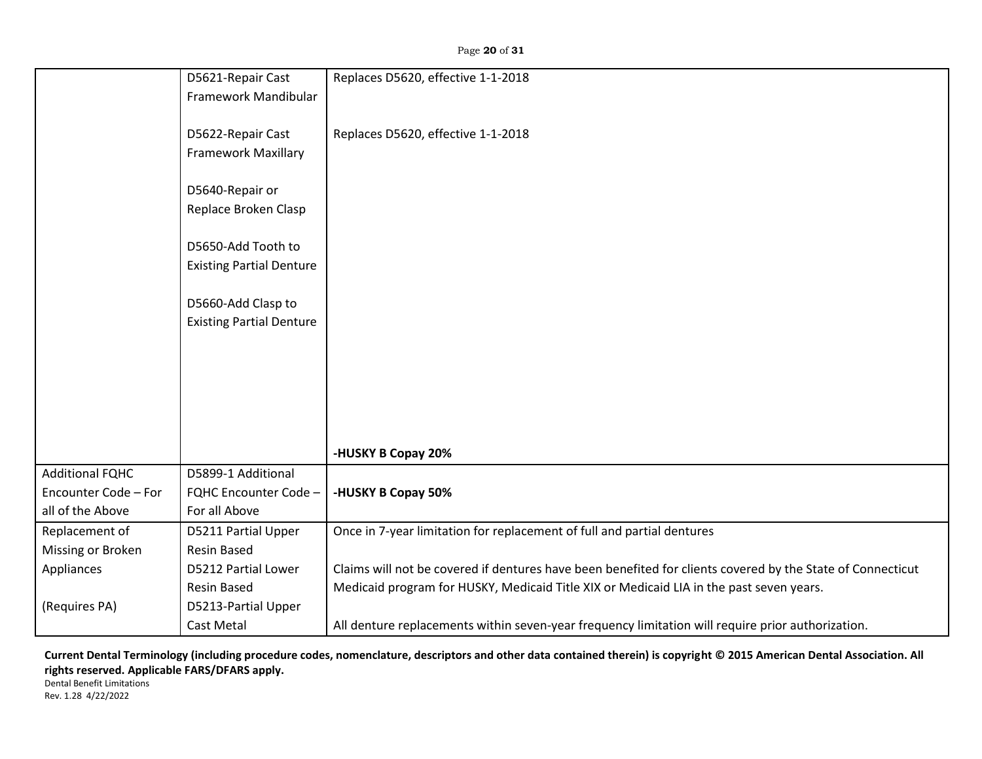Page **20** of **31**

|                        | D5621-Repair Cast               | Replaces D5620, effective 1-1-2018                                                                         |
|------------------------|---------------------------------|------------------------------------------------------------------------------------------------------------|
|                        | Framework Mandibular            |                                                                                                            |
|                        |                                 |                                                                                                            |
|                        | D5622-Repair Cast               | Replaces D5620, effective 1-1-2018                                                                         |
|                        | <b>Framework Maxillary</b>      |                                                                                                            |
|                        |                                 |                                                                                                            |
|                        | D5640-Repair or                 |                                                                                                            |
|                        | Replace Broken Clasp            |                                                                                                            |
|                        |                                 |                                                                                                            |
|                        | D5650-Add Tooth to              |                                                                                                            |
|                        | <b>Existing Partial Denture</b> |                                                                                                            |
|                        |                                 |                                                                                                            |
|                        | D5660-Add Clasp to              |                                                                                                            |
|                        | <b>Existing Partial Denture</b> |                                                                                                            |
|                        |                                 |                                                                                                            |
|                        |                                 |                                                                                                            |
|                        |                                 |                                                                                                            |
|                        |                                 |                                                                                                            |
|                        |                                 |                                                                                                            |
|                        |                                 |                                                                                                            |
|                        |                                 | -HUSKY B Copay 20%                                                                                         |
| <b>Additional FQHC</b> | D5899-1 Additional              |                                                                                                            |
| Encounter Code - For   | FQHC Encounter Code -           | -HUSKY B Copay 50%                                                                                         |
| all of the Above       | For all Above                   |                                                                                                            |
| Replacement of         | D5211 Partial Upper             | Once in 7-year limitation for replacement of full and partial dentures                                     |
| Missing or Broken      | <b>Resin Based</b>              |                                                                                                            |
| Appliances             | D5212 Partial Lower             | Claims will not be covered if dentures have been benefited for clients covered by the State of Connecticut |
|                        | <b>Resin Based</b>              | Medicaid program for HUSKY, Medicaid Title XIX or Medicaid LIA in the past seven years.                    |
| (Requires PA)          | D5213-Partial Upper             |                                                                                                            |
|                        | Cast Metal                      | All denture replacements within seven-year frequency limitation will require prior authorization.          |

**Current Dental Terminology (including procedure codes, nomenclature, descriptors and other data contained therein) is copyright © 2015 American Dental Association. All rights reserved. Applicable FARS/DFARS apply.**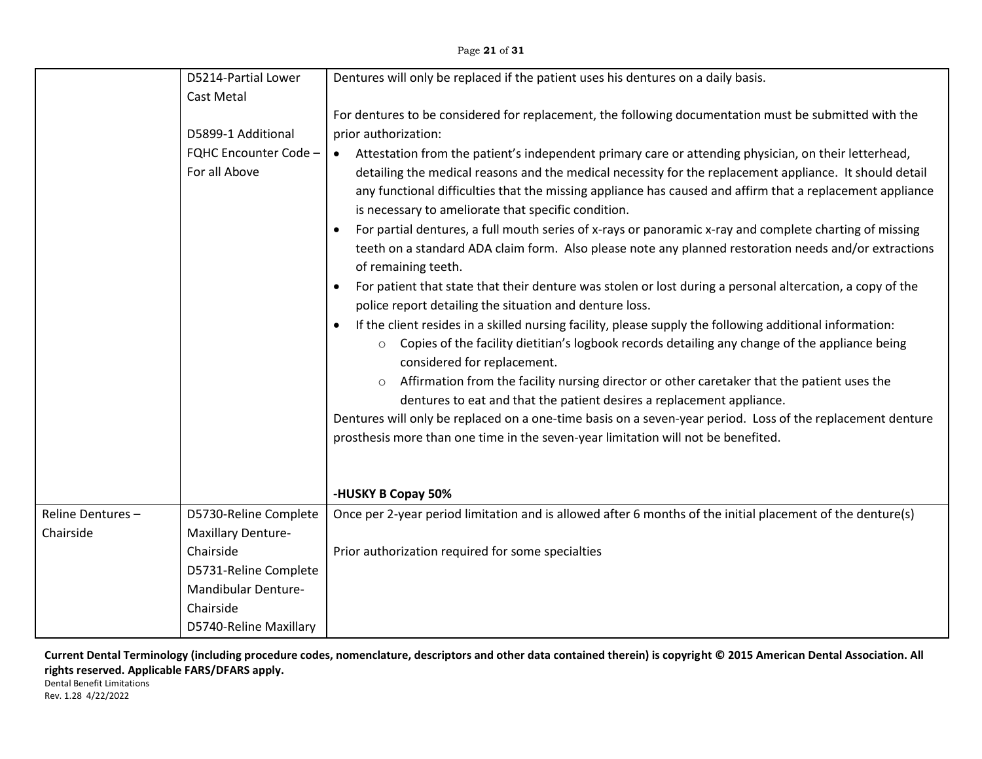Page **21** of **31**

|                  | D5214-Partial Lower          | Dentures will only be replaced if the patient uses his dentures on a daily basis.                                                                                                                                                                                           |
|------------------|------------------------------|-----------------------------------------------------------------------------------------------------------------------------------------------------------------------------------------------------------------------------------------------------------------------------|
|                  | Cast Metal                   |                                                                                                                                                                                                                                                                             |
|                  |                              | For dentures to be considered for replacement, the following documentation must be submitted with the                                                                                                                                                                       |
|                  | D5899-1 Additional           | prior authorization:                                                                                                                                                                                                                                                        |
|                  | <b>FQHC Encounter Code -</b> | Attestation from the patient's independent primary care or attending physician, on their letterhead,<br>$\bullet$                                                                                                                                                           |
|                  | For all Above                | detailing the medical reasons and the medical necessity for the replacement appliance. It should detail<br>any functional difficulties that the missing appliance has caused and affirm that a replacement appliance<br>is necessary to ameliorate that specific condition. |
|                  |                              | For partial dentures, a full mouth series of x-rays or panoramic x-ray and complete charting of missing<br>teeth on a standard ADA claim form. Also please note any planned restoration needs and/or extractions<br>of remaining teeth.                                     |
|                  |                              | For patient that state that their denture was stolen or lost during a personal altercation, a copy of the<br>police report detailing the situation and denture loss.                                                                                                        |
|                  |                              | If the client resides in a skilled nursing facility, please supply the following additional information:<br>Copies of the facility dietitian's logbook records detailing any change of the appliance being<br>$\circ$<br>considered for replacement.                        |
|                  |                              | Affirmation from the facility nursing director or other caretaker that the patient uses the<br>$\circ$<br>dentures to eat and that the patient desires a replacement appliance.                                                                                             |
|                  |                              | Dentures will only be replaced on a one-time basis on a seven-year period. Loss of the replacement denture<br>prosthesis more than one time in the seven-year limitation will not be benefited.                                                                             |
|                  |                              | -HUSKY B Copay 50%                                                                                                                                                                                                                                                          |
| Reline Dentures- | D5730-Reline Complete        | Once per 2-year period limitation and is allowed after 6 months of the initial placement of the denture(s)                                                                                                                                                                  |
| Chairside        | <b>Maxillary Denture-</b>    |                                                                                                                                                                                                                                                                             |
|                  | Chairside                    | Prior authorization required for some specialties                                                                                                                                                                                                                           |
|                  | D5731-Reline Complete        |                                                                                                                                                                                                                                                                             |
|                  | Mandibular Denture-          |                                                                                                                                                                                                                                                                             |
|                  | Chairside                    |                                                                                                                                                                                                                                                                             |
|                  | D5740-Reline Maxillary       |                                                                                                                                                                                                                                                                             |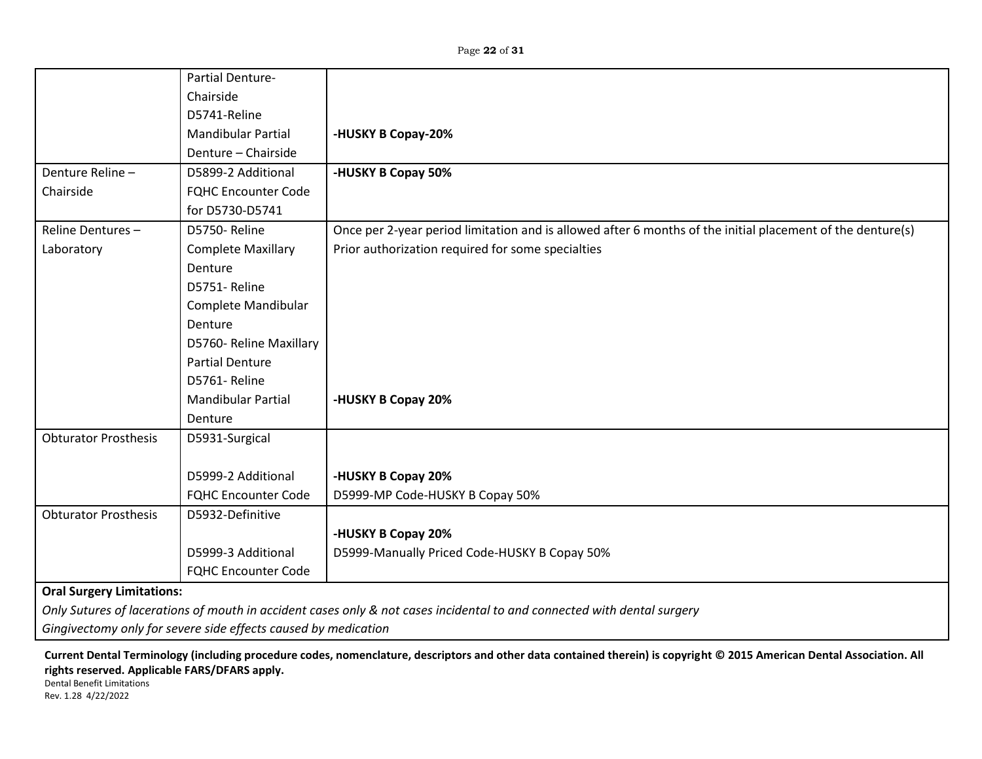|                             | Partial Denture-                 |                                                                                                                         |  |
|-----------------------------|----------------------------------|-------------------------------------------------------------------------------------------------------------------------|--|
|                             | Chairside                        |                                                                                                                         |  |
|                             | D5741-Reline                     |                                                                                                                         |  |
|                             | <b>Mandibular Partial</b>        | -HUSKY B Copay-20%                                                                                                      |  |
|                             | Denture - Chairside              |                                                                                                                         |  |
| Denture Reline-             | D5899-2 Additional               | -HUSKY B Copay 50%                                                                                                      |  |
| Chairside                   | <b>FQHC Encounter Code</b>       |                                                                                                                         |  |
|                             | for D5730-D5741                  |                                                                                                                         |  |
| Reline Dentures-            | D5750-Reline                     | Once per 2-year period limitation and is allowed after 6 months of the initial placement of the denture(s)              |  |
| Laboratory                  | <b>Complete Maxillary</b>        | Prior authorization required for some specialties                                                                       |  |
|                             | Denture                          |                                                                                                                         |  |
|                             | D5751-Reline                     |                                                                                                                         |  |
|                             | Complete Mandibular              |                                                                                                                         |  |
|                             | Denture                          |                                                                                                                         |  |
|                             | D5760- Reline Maxillary          |                                                                                                                         |  |
|                             | <b>Partial Denture</b>           |                                                                                                                         |  |
|                             | D5761-Reline                     |                                                                                                                         |  |
|                             | <b>Mandibular Partial</b>        | -HUSKY B Copay 20%                                                                                                      |  |
|                             | Denture                          |                                                                                                                         |  |
| <b>Obturator Prosthesis</b> | D5931-Surgical                   |                                                                                                                         |  |
|                             |                                  |                                                                                                                         |  |
|                             | D5999-2 Additional               | -HUSKY B Copay 20%                                                                                                      |  |
|                             | <b>FQHC Encounter Code</b>       | D5999-MP Code-HUSKY B Copay 50%                                                                                         |  |
| <b>Obturator Prosthesis</b> | D5932-Definitive                 |                                                                                                                         |  |
|                             |                                  | -HUSKY B Copay 20%                                                                                                      |  |
|                             | D5999-3 Additional               | D5999-Manually Priced Code-HUSKY B Copay 50%                                                                            |  |
|                             | <b>FQHC Encounter Code</b>       |                                                                                                                         |  |
|                             | <b>Oral Surgery Limitations:</b> |                                                                                                                         |  |
|                             |                                  | Only Sutures of lacerations of mouth in accident cases only & not cases incidental to and connected with dental surgery |  |

*Gingivectomy only for severe side effects caused by medication*

**Current Dental Terminology (including procedure codes, nomenclature, descriptors and other data contained therein) is copyright © 2015 American Dental Association. All rights reserved. Applicable FARS/DFARS apply.**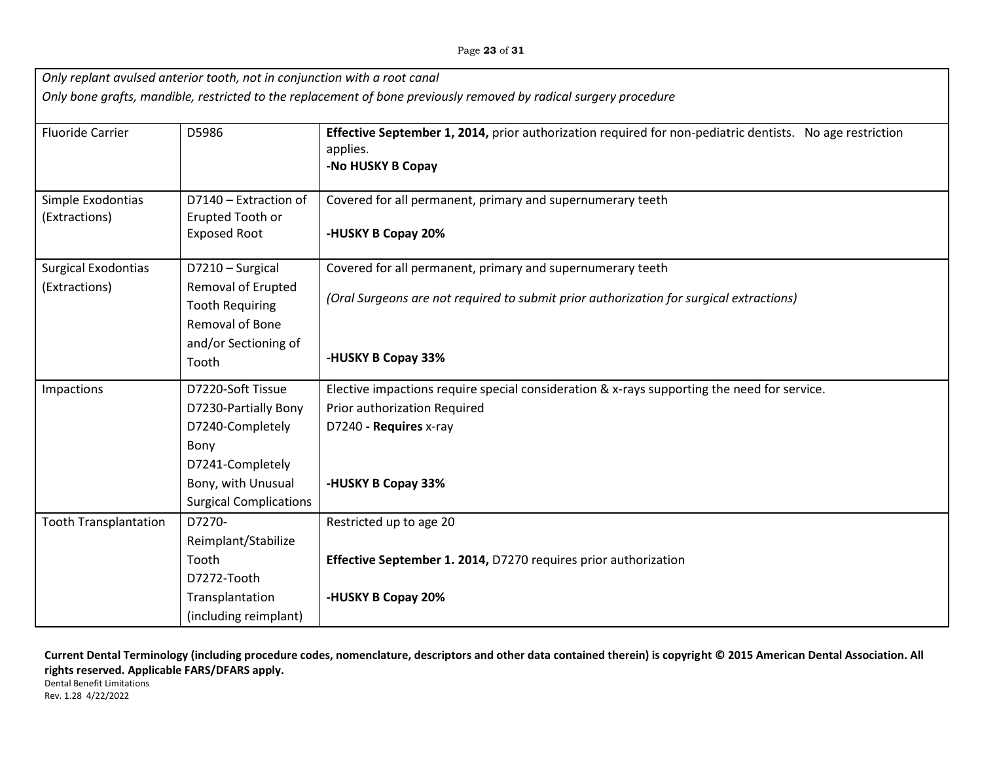| Page 23 of 31 |  |  |  |
|---------------|--|--|--|
|---------------|--|--|--|

| Only replant avulsed anterior tooth, not in conjunction with a root canal                                         |                               |                                                                                                          |
|-------------------------------------------------------------------------------------------------------------------|-------------------------------|----------------------------------------------------------------------------------------------------------|
| Only bone grafts, mandible, restricted to the replacement of bone previously removed by radical surgery procedure |                               |                                                                                                          |
|                                                                                                                   |                               |                                                                                                          |
| <b>Fluoride Carrier</b>                                                                                           | D5986                         | Effective September 1, 2014, prior authorization required for non-pediatric dentists. No age restriction |
|                                                                                                                   |                               | applies.                                                                                                 |
|                                                                                                                   |                               | -No HUSKY B Copay                                                                                        |
| Simple Exodontias                                                                                                 | D7140 - Extraction of         | Covered for all permanent, primary and supernumerary teeth                                               |
| (Extractions)                                                                                                     | Erupted Tooth or              |                                                                                                          |
|                                                                                                                   | <b>Exposed Root</b>           | -HUSKY B Copay 20%                                                                                       |
| <b>Surgical Exodontias</b>                                                                                        | D7210 - Surgical              | Covered for all permanent, primary and supernumerary teeth                                               |
| (Extractions)                                                                                                     | Removal of Erupted            |                                                                                                          |
|                                                                                                                   | <b>Tooth Requiring</b>        | (Oral Surgeons are not required to submit prior authorization for surgical extractions)                  |
|                                                                                                                   | Removal of Bone               |                                                                                                          |
|                                                                                                                   | and/or Sectioning of          |                                                                                                          |
|                                                                                                                   | Tooth                         | -HUSKY B Copay 33%                                                                                       |
| Impactions                                                                                                        | D7220-Soft Tissue             | Elective impactions require special consideration & x-rays supporting the need for service.              |
|                                                                                                                   | D7230-Partially Bony          | Prior authorization Required                                                                             |
|                                                                                                                   | D7240-Completely              | D7240 - Requires x-ray                                                                                   |
|                                                                                                                   | Bony                          |                                                                                                          |
|                                                                                                                   | D7241-Completely              |                                                                                                          |
|                                                                                                                   | Bony, with Unusual            | -HUSKY B Copay 33%                                                                                       |
|                                                                                                                   | <b>Surgical Complications</b> |                                                                                                          |
| <b>Tooth Transplantation</b>                                                                                      | D7270-                        | Restricted up to age 20                                                                                  |
|                                                                                                                   | Reimplant/Stabilize           |                                                                                                          |
|                                                                                                                   | Tooth                         | Effective September 1. 2014, D7270 requires prior authorization                                          |
|                                                                                                                   | D7272-Tooth                   |                                                                                                          |
|                                                                                                                   | Transplantation               | -HUSKY B Copay 20%                                                                                       |
|                                                                                                                   | (including reimplant)         |                                                                                                          |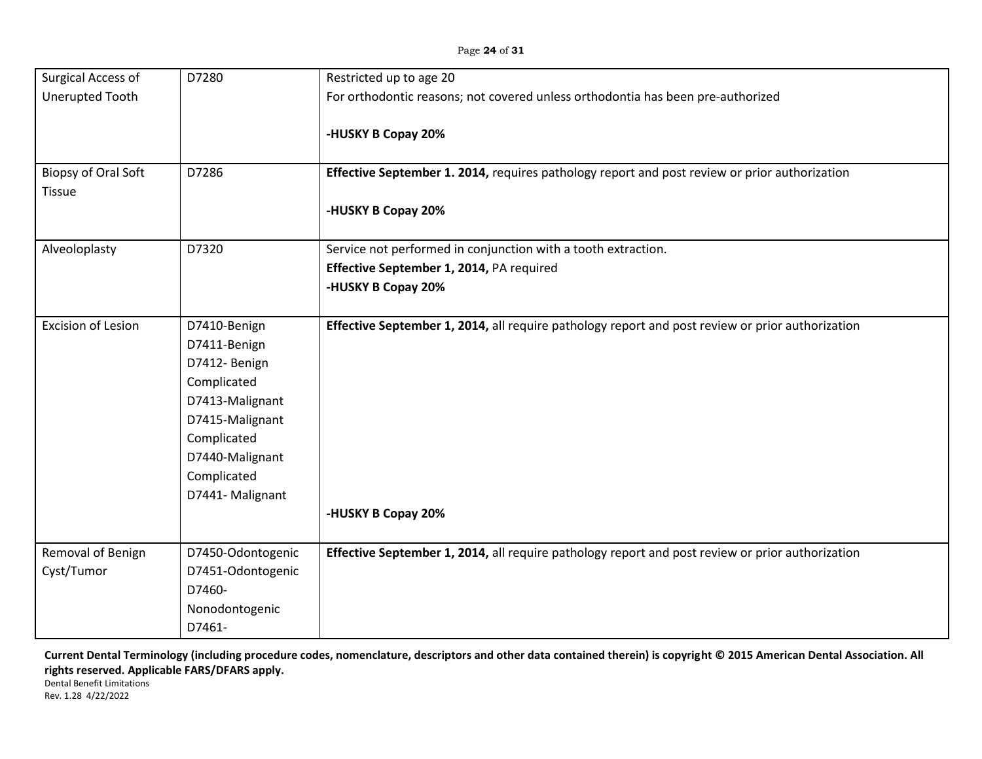| Surgical Access of         | D7280             | Restricted up to age 20                                                                          |
|----------------------------|-------------------|--------------------------------------------------------------------------------------------------|
| <b>Unerupted Tooth</b>     |                   | For orthodontic reasons; not covered unless orthodontia has been pre-authorized                  |
|                            |                   |                                                                                                  |
|                            |                   | -HUSKY B Copay 20%                                                                               |
| <b>Biopsy of Oral Soft</b> | D7286             | Effective September 1. 2014, requires pathology report and post review or prior authorization    |
| <b>Tissue</b>              |                   |                                                                                                  |
|                            |                   | -HUSKY B Copay 20%                                                                               |
|                            |                   |                                                                                                  |
| Alveoloplasty              | D7320             | Service not performed in conjunction with a tooth extraction.                                    |
|                            |                   | Effective September 1, 2014, PA required                                                         |
|                            |                   | -HUSKY B Copay 20%                                                                               |
|                            |                   |                                                                                                  |
| <b>Excision of Lesion</b>  | D7410-Benign      | Effective September 1, 2014, all require pathology report and post review or prior authorization |
|                            | D7411-Benign      |                                                                                                  |
|                            | D7412- Benign     |                                                                                                  |
|                            | Complicated       |                                                                                                  |
|                            | D7413-Malignant   |                                                                                                  |
|                            | D7415-Malignant   |                                                                                                  |
|                            | Complicated       |                                                                                                  |
|                            | D7440-Malignant   |                                                                                                  |
|                            | Complicated       |                                                                                                  |
|                            | D7441- Malignant  |                                                                                                  |
|                            |                   | -HUSKY B Copay 20%                                                                               |
|                            |                   |                                                                                                  |
| Removal of Benign          | D7450-Odontogenic | Effective September 1, 2014, all require pathology report and post review or prior authorization |
| Cyst/Tumor                 | D7451-Odontogenic |                                                                                                  |
|                            | D7460-            |                                                                                                  |
|                            | Nonodontogenic    |                                                                                                  |
|                            | D7461-            |                                                                                                  |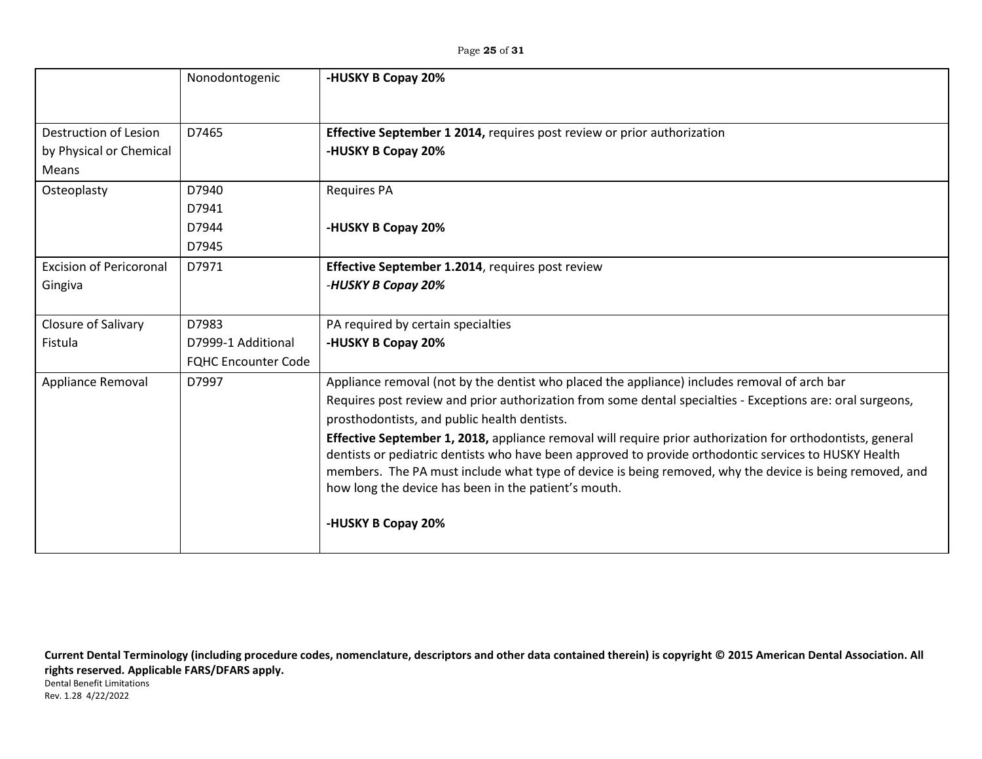Page **25** of **31**

|                                | Nonodontogenic             | -HUSKY B Copay 20%                                                                                         |
|--------------------------------|----------------------------|------------------------------------------------------------------------------------------------------------|
|                                |                            |                                                                                                            |
| Destruction of Lesion          | D7465                      | <b>Effective September 1 2014, requires post review or prior authorization</b>                             |
| by Physical or Chemical        |                            | -HUSKY B Copay 20%                                                                                         |
| Means                          |                            |                                                                                                            |
| Osteoplasty                    | D7940                      | <b>Requires PA</b>                                                                                         |
|                                | D7941                      |                                                                                                            |
|                                | D7944                      | -HUSKY B Copay 20%                                                                                         |
|                                | D7945                      |                                                                                                            |
| <b>Excision of Pericoronal</b> | D7971                      | Effective September 1.2014, requires post review                                                           |
| Gingiva                        |                            | -HUSKY B Copay 20%                                                                                         |
|                                |                            |                                                                                                            |
| Closure of Salivary            | D7983                      | PA required by certain specialties                                                                         |
| Fistula                        | D7999-1 Additional         | -HUSKY B Copay 20%                                                                                         |
|                                | <b>FQHC Encounter Code</b> |                                                                                                            |
| Appliance Removal              | D7997                      | Appliance removal (not by the dentist who placed the appliance) includes removal of arch bar               |
|                                |                            | Requires post review and prior authorization from some dental specialties - Exceptions are: oral surgeons, |
|                                |                            | prosthodontists, and public health dentists.                                                               |
|                                |                            | Effective September 1, 2018, appliance removal will require prior authorization for orthodontists, general |
|                                |                            | dentists or pediatric dentists who have been approved to provide orthodontic services to HUSKY Health      |
|                                |                            | members. The PA must include what type of device is being removed, why the device is being removed, and    |
|                                |                            | how long the device has been in the patient's mouth.                                                       |
|                                |                            | -HUSKY B Copay 20%                                                                                         |
|                                |                            |                                                                                                            |
|                                |                            |                                                                                                            |

**Current Dental Terminology (including procedure codes, nomenclature, descriptors and other data contained therein) is copyright © 2015 American Dental Association. All rights reserved. Applicable FARS/DFARS apply.** Dental Benefit Limitations Rev. 1.28 4/22/2022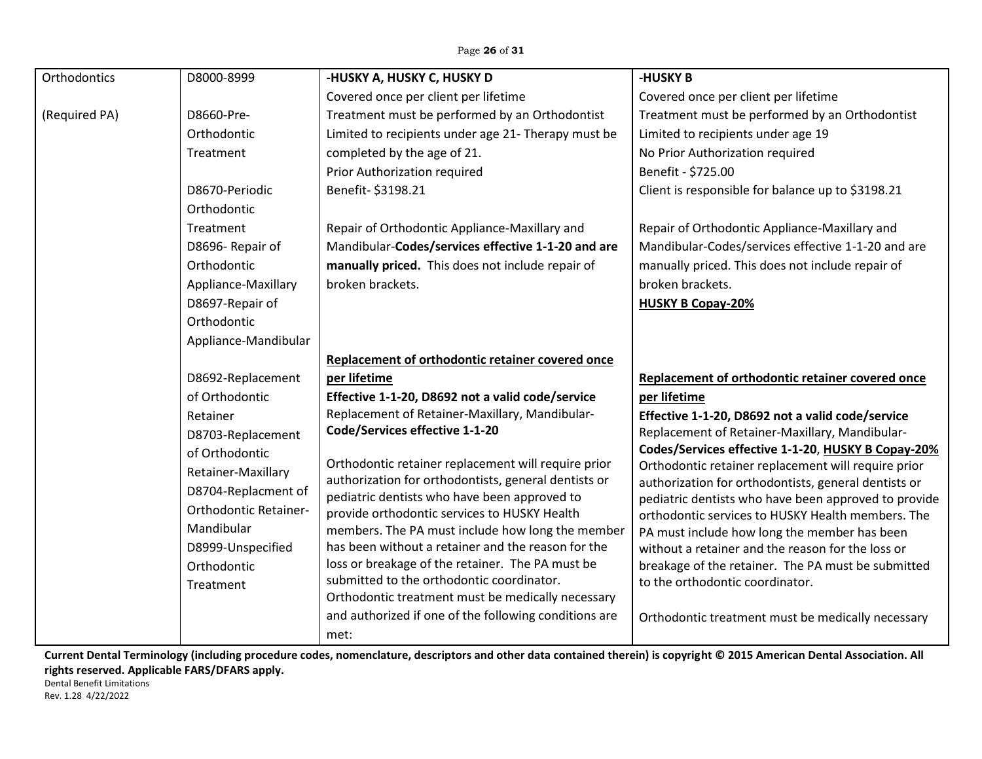| Orthodontics  | D8000-8999                   | -HUSKY A, HUSKY C, HUSKY D                                                                                  | -HUSKY B                                                                                                     |
|---------------|------------------------------|-------------------------------------------------------------------------------------------------------------|--------------------------------------------------------------------------------------------------------------|
|               |                              | Covered once per client per lifetime                                                                        | Covered once per client per lifetime                                                                         |
| (Required PA) | D8660-Pre-                   | Treatment must be performed by an Orthodontist                                                              | Treatment must be performed by an Orthodontist                                                               |
|               | Orthodontic                  | Limited to recipients under age 21- Therapy must be                                                         | Limited to recipients under age 19                                                                           |
|               | Treatment                    | completed by the age of 21.                                                                                 | No Prior Authorization required                                                                              |
|               |                              | Prior Authorization required                                                                                | Benefit - \$725.00                                                                                           |
|               | D8670-Periodic               | Benefit- \$3198.21                                                                                          | Client is responsible for balance up to \$3198.21                                                            |
|               | Orthodontic                  |                                                                                                             |                                                                                                              |
|               | Treatment                    | Repair of Orthodontic Appliance-Maxillary and                                                               | Repair of Orthodontic Appliance-Maxillary and                                                                |
|               | D8696- Repair of             | Mandibular-Codes/services effective 1-1-20 and are                                                          | Mandibular-Codes/services effective 1-1-20 and are                                                           |
|               | Orthodontic                  | manually priced. This does not include repair of                                                            | manually priced. This does not include repair of                                                             |
|               | Appliance-Maxillary          | broken brackets.                                                                                            | broken brackets.                                                                                             |
|               | D8697-Repair of              |                                                                                                             | <b>HUSKY B Copay-20%</b>                                                                                     |
|               | Orthodontic                  |                                                                                                             |                                                                                                              |
|               | Appliance-Mandibular         |                                                                                                             |                                                                                                              |
|               |                              | Replacement of orthodontic retainer covered once                                                            |                                                                                                              |
|               | D8692-Replacement            | per lifetime                                                                                                | Replacement of orthodontic retainer covered once                                                             |
|               | of Orthodontic               | Effective 1-1-20, D8692 not a valid code/service                                                            | per lifetime                                                                                                 |
|               | Retainer                     | Replacement of Retainer-Maxillary, Mandibular-                                                              | Effective 1-1-20, D8692 not a valid code/service                                                             |
|               | D8703-Replacement            | Code/Services effective 1-1-20                                                                              | Replacement of Retainer-Maxillary, Mandibular-                                                               |
|               | of Orthodontic               |                                                                                                             | Codes/Services effective 1-1-20, HUSKY B Copay-20%                                                           |
|               | Retainer-Maxillary           | Orthodontic retainer replacement will require prior<br>authorization for orthodontists, general dentists or | Orthodontic retainer replacement will require prior                                                          |
|               | D8704-Replacment of          | pediatric dentists who have been approved to                                                                | authorization for orthodontists, general dentists or<br>pediatric dentists who have been approved to provide |
|               | <b>Orthodontic Retainer-</b> | provide orthodontic services to HUSKY Health                                                                | orthodontic services to HUSKY Health members. The                                                            |
|               | Mandibular                   | members. The PA must include how long the member                                                            | PA must include how long the member has been                                                                 |
|               | D8999-Unspecified            | has been without a retainer and the reason for the                                                          | without a retainer and the reason for the loss or                                                            |
|               | Orthodontic                  | loss or breakage of the retainer. The PA must be                                                            | breakage of the retainer. The PA must be submitted                                                           |
|               | Treatment                    | submitted to the orthodontic coordinator.                                                                   | to the orthodontic coordinator.                                                                              |
|               |                              | Orthodontic treatment must be medically necessary                                                           |                                                                                                              |
|               |                              | and authorized if one of the following conditions are                                                       | Orthodontic treatment must be medically necessary                                                            |
|               |                              | met:                                                                                                        |                                                                                                              |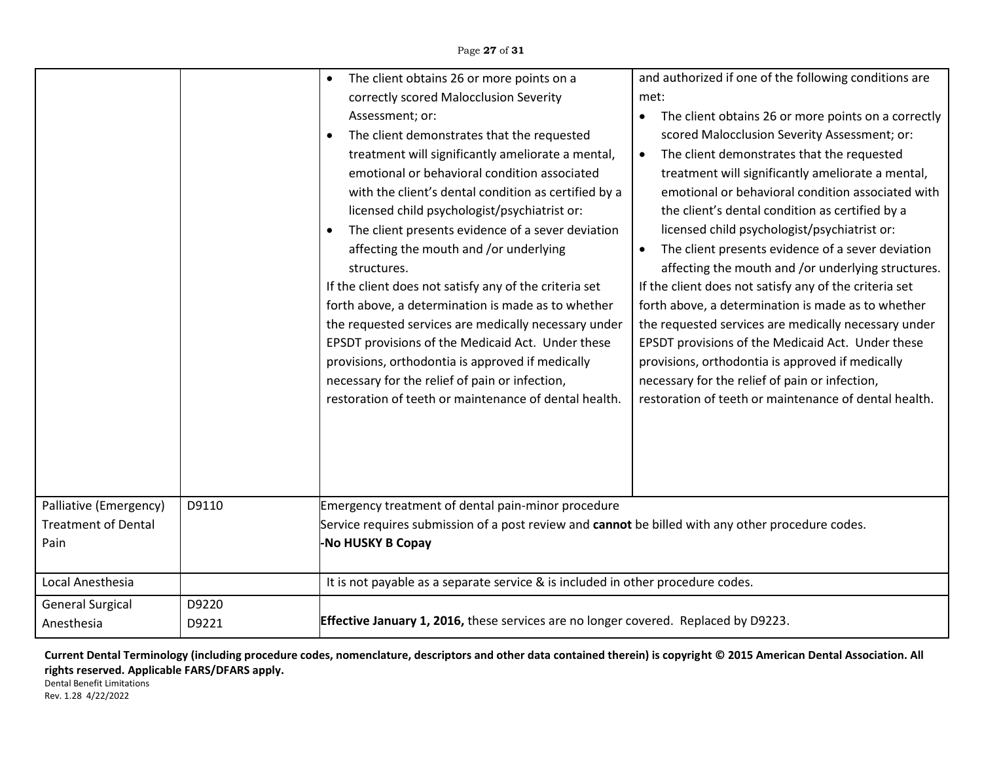Page **27** of **31**

|                                                                                  |                | The client obtains 26 or more points on a<br>$\bullet$<br>correctly scored Malocclusion Severity<br>Assessment; or:<br>The client demonstrates that the requested<br>$\bullet$<br>treatment will significantly ameliorate a mental,<br>emotional or behavioral condition associated<br>with the client's dental condition as certified by a<br>licensed child psychologist/psychiatrist or:<br>The client presents evidence of a sever deviation<br>$\bullet$<br>affecting the mouth and /or underlying<br>structures.<br>If the client does not satisfy any of the criteria set<br>forth above, a determination is made as to whether<br>the requested services are medically necessary under<br>EPSDT provisions of the Medicaid Act. Under these<br>provisions, orthodontia is approved if medically<br>necessary for the relief of pain or infection,<br>restoration of teeth or maintenance of dental health. | and authorized if one of the following conditions are<br>met:<br>The client obtains 26 or more points on a correctly<br>$\bullet$<br>scored Malocclusion Severity Assessment; or:<br>The client demonstrates that the requested<br>$\bullet$<br>treatment will significantly ameliorate a mental,<br>emotional or behavioral condition associated with<br>the client's dental condition as certified by a<br>licensed child psychologist/psychiatrist or:<br>The client presents evidence of a sever deviation<br>$\bullet$<br>affecting the mouth and /or underlying structures.<br>If the client does not satisfy any of the criteria set<br>forth above, a determination is made as to whether<br>the requested services are medically necessary under<br>EPSDT provisions of the Medicaid Act. Under these<br>provisions, orthodontia is approved if medically<br>necessary for the relief of pain or infection,<br>restoration of teeth or maintenance of dental health. |
|----------------------------------------------------------------------------------|----------------|--------------------------------------------------------------------------------------------------------------------------------------------------------------------------------------------------------------------------------------------------------------------------------------------------------------------------------------------------------------------------------------------------------------------------------------------------------------------------------------------------------------------------------------------------------------------------------------------------------------------------------------------------------------------------------------------------------------------------------------------------------------------------------------------------------------------------------------------------------------------------------------------------------------------|-------------------------------------------------------------------------------------------------------------------------------------------------------------------------------------------------------------------------------------------------------------------------------------------------------------------------------------------------------------------------------------------------------------------------------------------------------------------------------------------------------------------------------------------------------------------------------------------------------------------------------------------------------------------------------------------------------------------------------------------------------------------------------------------------------------------------------------------------------------------------------------------------------------------------------------------------------------------------------|
| Palliative (Emergency)<br><b>Treatment of Dental</b><br>Pain<br>Local Anesthesia | D9110          | Emergency treatment of dental pain-minor procedure<br>Service requires submission of a post review and cannot be billed with any other procedure codes.<br>-No HUSKY B Copay<br>It is not payable as a separate service & is included in other procedure codes.                                                                                                                                                                                                                                                                                                                                                                                                                                                                                                                                                                                                                                                    |                                                                                                                                                                                                                                                                                                                                                                                                                                                                                                                                                                                                                                                                                                                                                                                                                                                                                                                                                                               |
|                                                                                  |                |                                                                                                                                                                                                                                                                                                                                                                                                                                                                                                                                                                                                                                                                                                                                                                                                                                                                                                                    |                                                                                                                                                                                                                                                                                                                                                                                                                                                                                                                                                                                                                                                                                                                                                                                                                                                                                                                                                                               |
| <b>General Surgical</b><br>Anesthesia                                            | D9220<br>D9221 | Effective January 1, 2016, these services are no longer covered. Replaced by D9223.                                                                                                                                                                                                                                                                                                                                                                                                                                                                                                                                                                                                                                                                                                                                                                                                                                |                                                                                                                                                                                                                                                                                                                                                                                                                                                                                                                                                                                                                                                                                                                                                                                                                                                                                                                                                                               |

**Current Dental Terminology (including procedure codes, nomenclature, descriptors and other data contained therein) is copyright © 2015 American Dental Association. All rights reserved. Applicable FARS/DFARS apply.**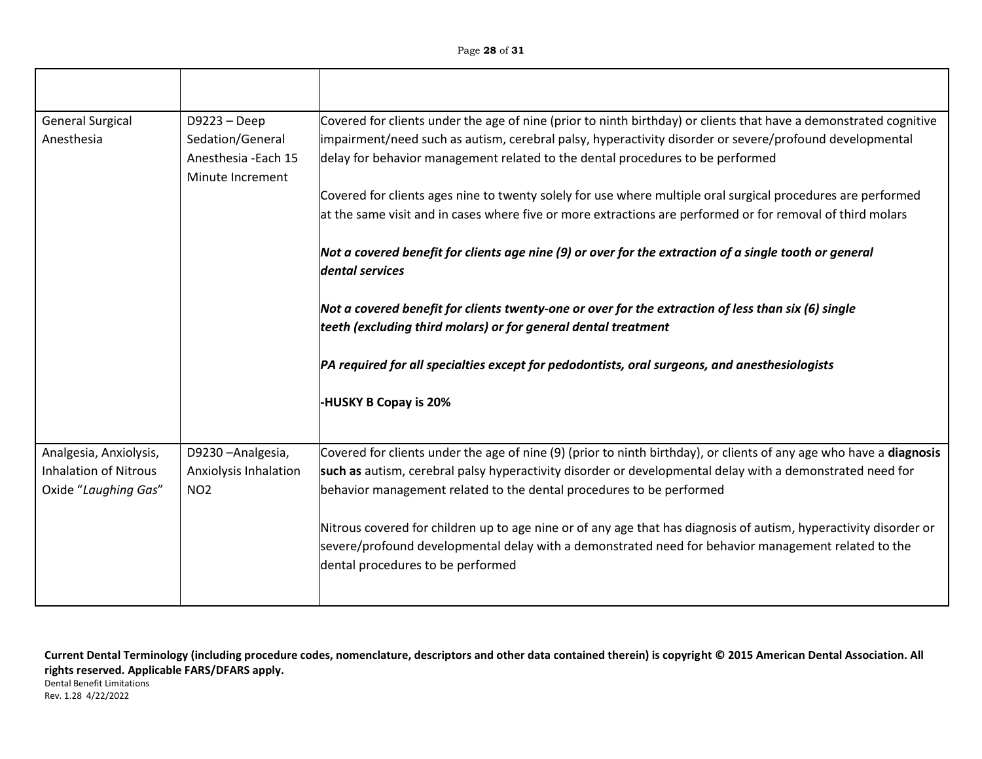| <b>General Surgical</b><br>Anesthesia                                          | $D9223 - Deep$<br>Sedation/General<br>Anesthesia - Each 15<br>Minute Increment | Covered for clients under the age of nine (prior to ninth birthday) or clients that have a demonstrated cognitive<br>impairment/need such as autism, cerebral palsy, hyperactivity disorder or severe/profound developmental<br>delay for behavior management related to the dental procedures to be performed |
|--------------------------------------------------------------------------------|--------------------------------------------------------------------------------|----------------------------------------------------------------------------------------------------------------------------------------------------------------------------------------------------------------------------------------------------------------------------------------------------------------|
|                                                                                |                                                                                | Covered for clients ages nine to twenty solely for use where multiple oral surgical procedures are performed<br>at the same visit and in cases where five or more extractions are performed or for removal of third molars                                                                                     |
|                                                                                |                                                                                | Not a covered benefit for clients age nine (9) or over for the extraction of a single tooth or general<br>dental services                                                                                                                                                                                      |
|                                                                                |                                                                                | Not a covered benefit for clients twenty-one or over for the extraction of less than six (6) single<br>teeth (excluding third molars) or for general dental treatment                                                                                                                                          |
|                                                                                |                                                                                | PA required for all specialties except for pedodontists, oral surgeons, and anesthesiologists                                                                                                                                                                                                                  |
|                                                                                |                                                                                | <b>HUSKY B Copay is 20%</b>                                                                                                                                                                                                                                                                                    |
| Analgesia, Anxiolysis,<br><b>Inhalation of Nitrous</b><br>Oxide "Laughing Gas" | D9230-Analgesia,<br>Anxiolysis Inhalation<br>NO <sub>2</sub>                   | Covered for clients under the age of nine (9) (prior to ninth birthday), or clients of any age who have a diagnosis<br>such as autism, cerebral palsy hyperactivity disorder or developmental delay with a demonstrated need for<br>behavior management related to the dental procedures to be performed       |
|                                                                                |                                                                                | Nitrous covered for children up to age nine or of any age that has diagnosis of autism, hyperactivity disorder or<br>severe/profound developmental delay with a demonstrated need for behavior management related to the<br>dental procedures to be performed                                                  |

Rev. 1.28 4/22/2022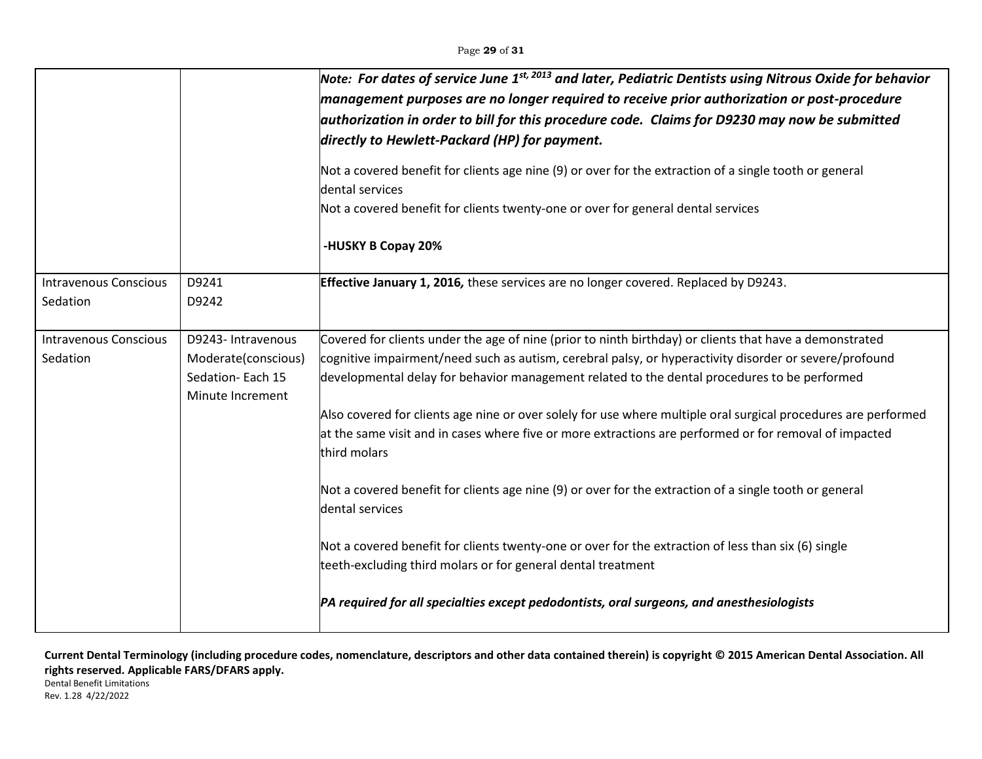|                                          |                                                                                   | Note: For dates of service June 1st, 2013 and later, Pediatric Dentists using Nitrous Oxide for behavior<br>management purposes are no longer required to receive prior authorization or post-procedure<br>authorization in order to bill for this procedure code. Claims for D9230 may now be submitted<br>directly to Hewlett-Packard (HP) for payment.<br>Not a covered benefit for clients age nine (9) or over for the extraction of a single tooth or general<br>dental services<br>Not a covered benefit for clients twenty-one or over for general dental services<br>-HUSKY B Copay 20%                                                                                                                                                                                                                                                                                                                                                               |
|------------------------------------------|-----------------------------------------------------------------------------------|----------------------------------------------------------------------------------------------------------------------------------------------------------------------------------------------------------------------------------------------------------------------------------------------------------------------------------------------------------------------------------------------------------------------------------------------------------------------------------------------------------------------------------------------------------------------------------------------------------------------------------------------------------------------------------------------------------------------------------------------------------------------------------------------------------------------------------------------------------------------------------------------------------------------------------------------------------------|
| <b>Intravenous Conscious</b>             | D9241                                                                             | Effective January 1, 2016, these services are no longer covered. Replaced by D9243.                                                                                                                                                                                                                                                                                                                                                                                                                                                                                                                                                                                                                                                                                                                                                                                                                                                                            |
| Sedation                                 | D9242                                                                             |                                                                                                                                                                                                                                                                                                                                                                                                                                                                                                                                                                                                                                                                                                                                                                                                                                                                                                                                                                |
| <b>Intravenous Conscious</b><br>Sedation | D9243- Intravenous<br>Moderate(conscious)<br>Sedation-Each 15<br>Minute Increment | Covered for clients under the age of nine (prior to ninth birthday) or clients that have a demonstrated<br>cognitive impairment/need such as autism, cerebral palsy, or hyperactivity disorder or severe/profound<br>developmental delay for behavior management related to the dental procedures to be performed<br>Also covered for clients age nine or over solely for use where multiple oral surgical procedures are performed<br>at the same visit and in cases where five or more extractions are performed or for removal of impacted<br>third molars<br>Not a covered benefit for clients age nine (9) or over for the extraction of a single tooth or general<br>dental services<br>Not a covered benefit for clients twenty-one or over for the extraction of less than six (6) single<br>teeth-excluding third molars or for general dental treatment<br>PA required for all specialties except pedodontists, oral surgeons, and anesthesiologists |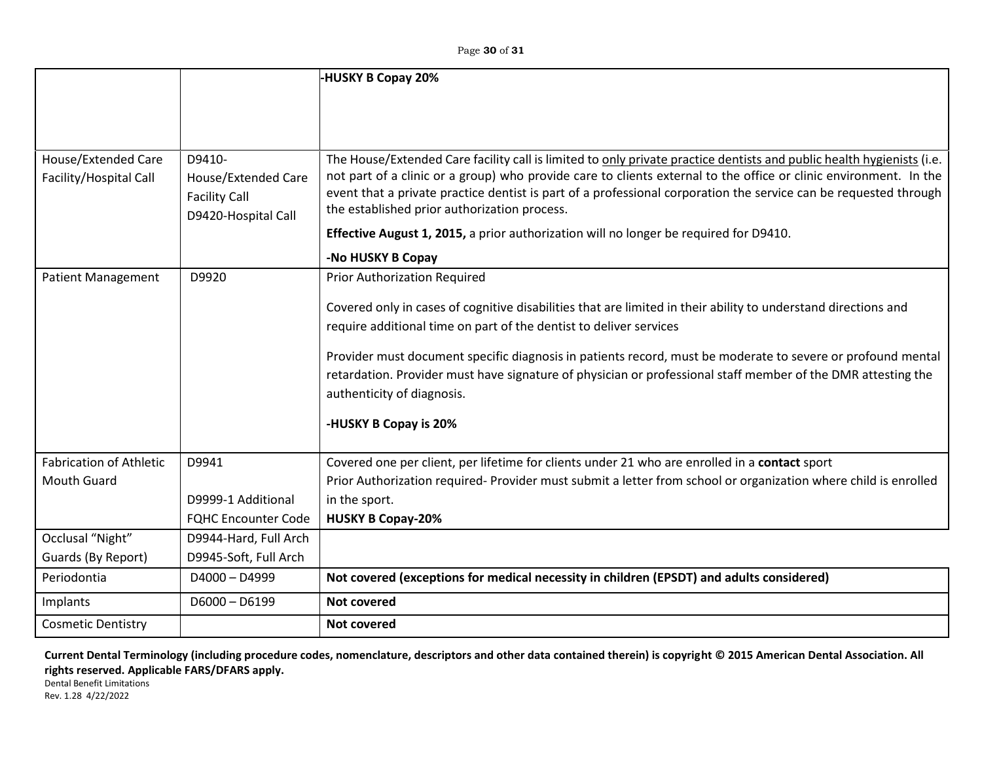Page **30** of **31**

|                                |                            | -HUSKY B Copay 20%                                                                                                                                                                                                                    |
|--------------------------------|----------------------------|---------------------------------------------------------------------------------------------------------------------------------------------------------------------------------------------------------------------------------------|
|                                |                            |                                                                                                                                                                                                                                       |
|                                |                            |                                                                                                                                                                                                                                       |
|                                |                            |                                                                                                                                                                                                                                       |
| <b>House/Extended Care</b>     | D9410-                     | The House/Extended Care facility call is limited to only private practice dentists and public health hygienists (i.e.                                                                                                                 |
| Facility/Hospital Call         | House/Extended Care        | not part of a clinic or a group) who provide care to clients external to the office or clinic environment. In the<br>event that a private practice dentist is part of a professional corporation the service can be requested through |
|                                | <b>Facility Call</b>       | the established prior authorization process.                                                                                                                                                                                          |
|                                | D9420-Hospital Call        | <b>Effective August 1, 2015, a prior authorization will no longer be required for D9410.</b>                                                                                                                                          |
|                                |                            |                                                                                                                                                                                                                                       |
|                                |                            | -No HUSKY B Copay                                                                                                                                                                                                                     |
| <b>Patient Management</b>      | D9920                      | <b>Prior Authorization Required</b>                                                                                                                                                                                                   |
|                                |                            | Covered only in cases of cognitive disabilities that are limited in their ability to understand directions and                                                                                                                        |
|                                |                            | require additional time on part of the dentist to deliver services                                                                                                                                                                    |
|                                |                            |                                                                                                                                                                                                                                       |
|                                |                            | Provider must document specific diagnosis in patients record, must be moderate to severe or profound mental<br>retardation. Provider must have signature of physician or professional staff member of the DMR attesting the           |
|                                |                            | authenticity of diagnosis.                                                                                                                                                                                                            |
|                                |                            |                                                                                                                                                                                                                                       |
|                                |                            | -HUSKY B Copay is 20%                                                                                                                                                                                                                 |
|                                |                            |                                                                                                                                                                                                                                       |
| <b>Fabrication of Athletic</b> | D9941                      | Covered one per client, per lifetime for clients under 21 who are enrolled in a contact sport                                                                                                                                         |
| <b>Mouth Guard</b>             |                            | Prior Authorization required- Provider must submit a letter from school or organization where child is enrolled                                                                                                                       |
|                                | D9999-1 Additional         | in the sport.                                                                                                                                                                                                                         |
|                                | <b>FQHC Encounter Code</b> | <b>HUSKY B Copay-20%</b>                                                                                                                                                                                                              |
| Occlusal "Night"               | D9944-Hard, Full Arch      |                                                                                                                                                                                                                                       |
| Guards (By Report)             | D9945-Soft, Full Arch      |                                                                                                                                                                                                                                       |
| Periodontia                    | $D4000 - D4999$            | Not covered (exceptions for medical necessity in children (EPSDT) and adults considered)                                                                                                                                              |
| Implants                       | $D6000 - D6199$            | <b>Not covered</b>                                                                                                                                                                                                                    |
| <b>Cosmetic Dentistry</b>      |                            | <b>Not covered</b>                                                                                                                                                                                                                    |

**Current Dental Terminology (including procedure codes, nomenclature, descriptors and other data contained therein) is copyright © 2015 American Dental Association. All rights reserved. Applicable FARS/DFARS apply.**